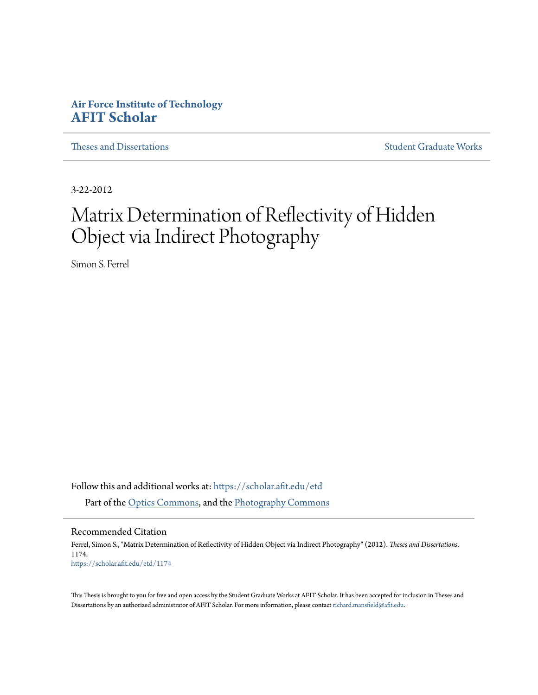## **Air Force Institute of Technology [AFIT Scholar](https://scholar.afit.edu?utm_source=scholar.afit.edu%2Fetd%2F1174&utm_medium=PDF&utm_campaign=PDFCoverPages)**

[Theses and Dissertations](https://scholar.afit.edu/etd?utm_source=scholar.afit.edu%2Fetd%2F1174&utm_medium=PDF&utm_campaign=PDFCoverPages) and [Student Graduate Works](https://scholar.afit.edu/graduate_works?utm_source=scholar.afit.edu%2Fetd%2F1174&utm_medium=PDF&utm_campaign=PDFCoverPages) Student Graduate Works

3-22-2012

# Matrix Determination of Reflectivity of Hidden Object via Indirect Photography

Simon S. Ferrel

Follow this and additional works at: [https://scholar.afit.edu/etd](https://scholar.afit.edu/etd?utm_source=scholar.afit.edu%2Fetd%2F1174&utm_medium=PDF&utm_campaign=PDFCoverPages) Part of the [Optics Commons](http://network.bepress.com/hgg/discipline/204?utm_source=scholar.afit.edu%2Fetd%2F1174&utm_medium=PDF&utm_campaign=PDFCoverPages), and the [Photography Commons](http://network.bepress.com/hgg/discipline/1142?utm_source=scholar.afit.edu%2Fetd%2F1174&utm_medium=PDF&utm_campaign=PDFCoverPages)

Recommended Citation

Ferrel, Simon S., "Matrix Determination of Reflectivity of Hidden Object via Indirect Photography" (2012). *Theses and Dissertations*. 1174. [https://scholar.afit.edu/etd/1174](https://scholar.afit.edu/etd/1174?utm_source=scholar.afit.edu%2Fetd%2F1174&utm_medium=PDF&utm_campaign=PDFCoverPages)

This Thesis is brought to you for free and open access by the Student Graduate Works at AFIT Scholar. It has been accepted for inclusion in Theses and Dissertations by an authorized administrator of AFIT Scholar. For more information, please contact [richard.mansfield@afit.edu.](mailto:richard.mansfield@afit.edu)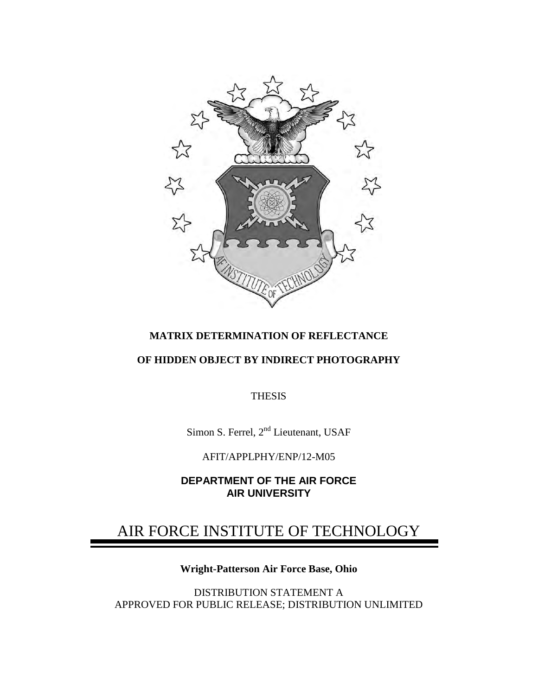

## **MATRIX DETERMINATION OF REFLECTANCE**

## **OF HIDDEN OBJECT BY INDIRECT PHOTOGRAPHY**

THESIS

Simon S. Ferrel, 2<sup>nd</sup> Lieutenant, USAF

AFIT/APPLPHY/ENP/12-M05

**DEPARTMENT OF THE AIR FORCE AIR UNIVERSITY**

## AIR FORCE INSTITUTE OF TECHNOLOGY

## **Wright-Patterson Air Force Base, Ohio**

DISTRIBUTION STATEMENT A APPROVED FOR PUBLIC RELEASE; DISTRIBUTION UNLIMITED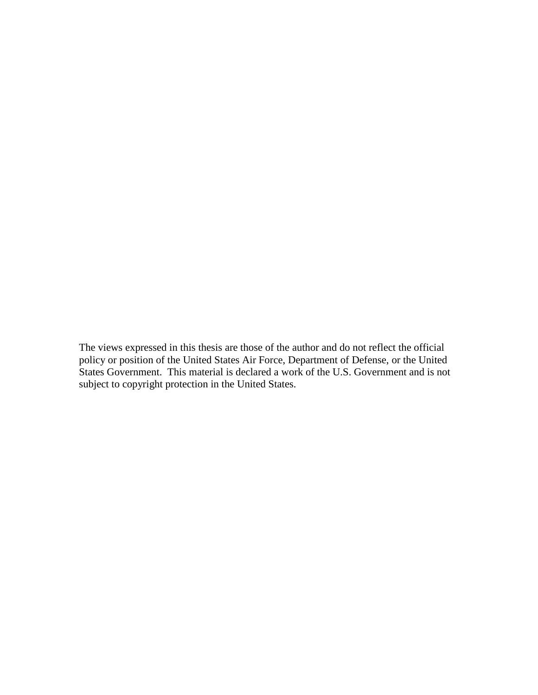The views expressed in this thesis are those of the author and do not reflect the official policy or position of the United States Air Force, Department of Defense, or the United States Government. This material is declared a work of the U.S. Government and is not subject to copyright protection in the United States.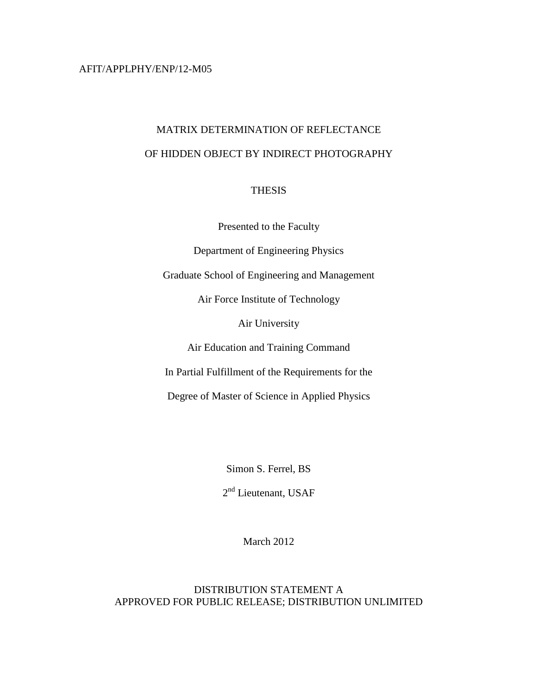#### AFIT/APPLPHY/ENP/12-M05

## MATRIX DETERMINATION OF REFLECTANCE OF HIDDEN OBJECT BY INDIRECT PHOTOGRAPHY

### **THESIS**

Presented to the Faculty

Department of Engineering Physics

Graduate School of Engineering and Management

Air Force Institute of Technology

Air University

Air Education and Training Command

In Partial Fulfillment of the Requirements for the

Degree of Master of Science in Applied Physics

Simon S. Ferrel, BS

2<sup>nd</sup> Lieutenant, USAF

March 2012

### DISTRIBUTION STATEMENT A APPROVED FOR PUBLIC RELEASE; DISTRIBUTION UNLIMITED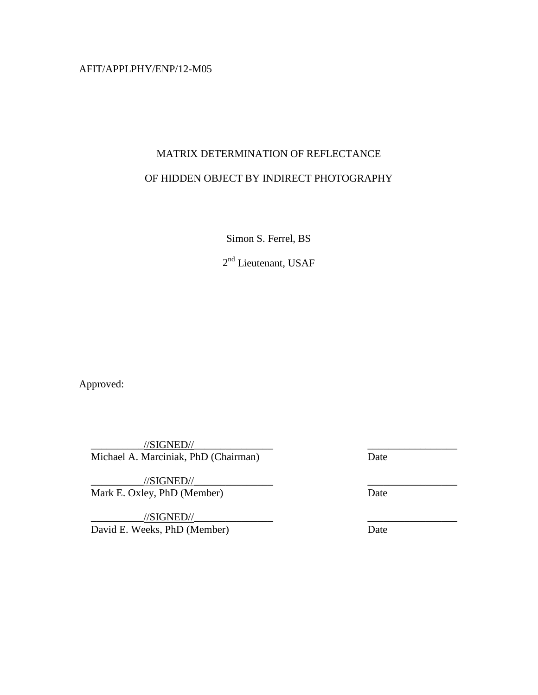AFIT/APPLPHY/ENP/12-M05

## MATRIX DETERMINATION OF REFLECTANCE OF HIDDEN OBJECT BY INDIRECT PHOTOGRAPHY

Simon S. Ferrel, BS

2nd Lieutenant, USAF

Approved:

 $\frac{1}{|S|}$  //SIGNED// Michael A. Marciniak, PhD (Chairman) Date \_\_\_\_\_\_\_\_\_\_\_\_\_\_\_ \_\_\_\_\_\_\_\_\_\_\_\_\_\_\_\_\_

 $\frac{1}{\sqrt{S}}$  //SIGNED// Mark E. Oxley, PhD (Member) Date \_\_\_\_\_\_\_\_\_\_\_\_\_\_\_ \_\_\_\_\_\_\_\_\_\_\_\_\_\_\_\_\_

 $\angle$ //SIGNED// $\angle$ David E. Weeks, PhD (Member) Date \_\_\_\_\_\_\_\_\_\_\_\_\_\_\_ \_\_\_\_\_\_\_\_\_\_\_\_\_\_\_\_\_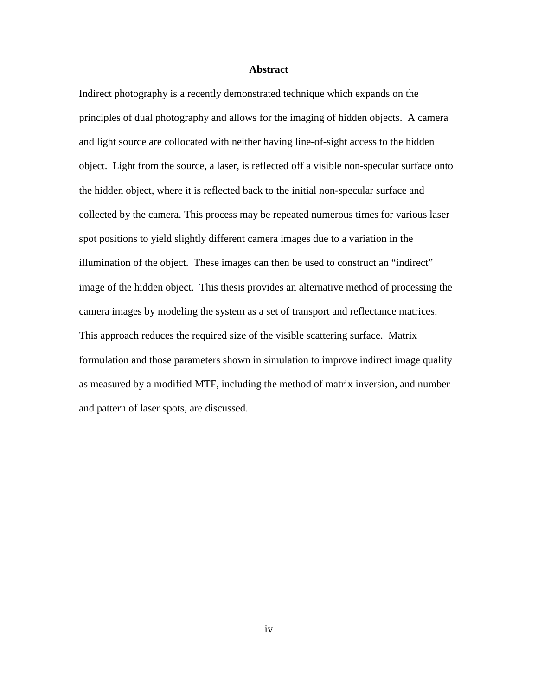#### **Abstract**

Indirect photography is a recently demonstrated technique which expands on the principles of dual photography and allows for the imaging of hidden objects. A camera and light source are collocated with neither having line-of-sight access to the hidden object. Light from the source, a laser, is reflected off a visible non-specular surface onto the hidden object, where it is reflected back to the initial non-specular surface and collected by the camera. This process may be repeated numerous times for various laser spot positions to yield slightly different camera images due to a variation in the illumination of the object. These images can then be used to construct an "indirect" image of the hidden object. This thesis provides an alternative method of processing the camera images by modeling the system as a set of transport and reflectance matrices. This approach reduces the required size of the visible scattering surface. Matrix formulation and those parameters shown in simulation to improve indirect image quality as measured by a modified MTF, including the method of matrix inversion, and number and pattern of laser spots, are discussed.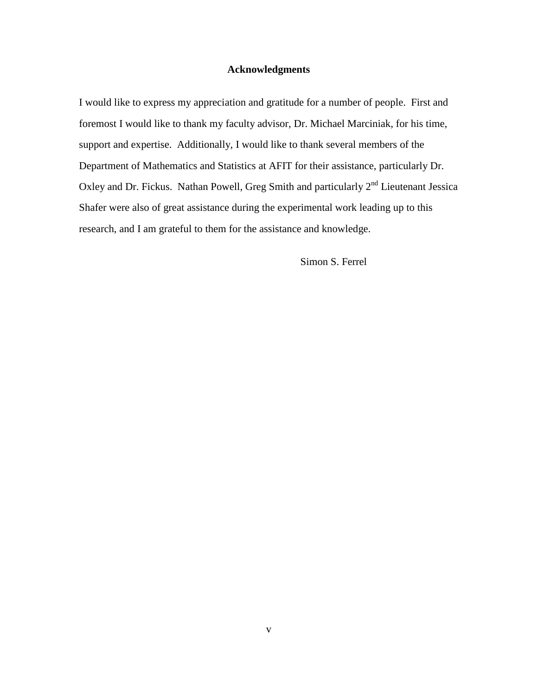#### **Acknowledgments**

I would like to express my appreciation and gratitude for a number of people. First and foremost I would like to thank my faculty advisor, Dr. Michael Marciniak, for his time, support and expertise. Additionally, I would like to thank several members of the Department of Mathematics and Statistics at AFIT for their assistance, particularly Dr. Oxley and Dr. Fickus. Nathan Powell, Greg Smith and particularly 2<sup>nd</sup> Lieutenant Jessica Shafer were also of great assistance during the experimental work leading up to this research, and I am grateful to them for the assistance and knowledge.

Simon S. Ferrel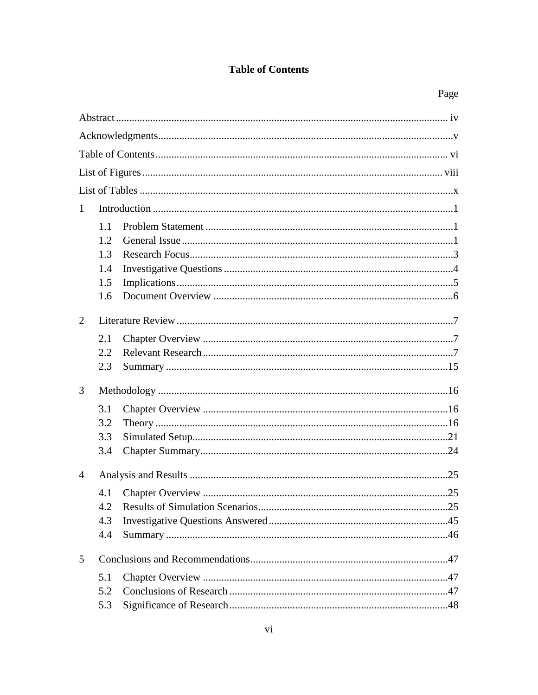## **Table of Contents**

| $\mathbf{1}$ |     |  |  |  |  |  |  |
|--------------|-----|--|--|--|--|--|--|
|              | 1.1 |  |  |  |  |  |  |
|              | 1.2 |  |  |  |  |  |  |
|              | 1.3 |  |  |  |  |  |  |
|              | 1.4 |  |  |  |  |  |  |
|              | 1.5 |  |  |  |  |  |  |
|              | 1.6 |  |  |  |  |  |  |
| 2            |     |  |  |  |  |  |  |
|              | 2.1 |  |  |  |  |  |  |
|              | 2.2 |  |  |  |  |  |  |
|              | 2.3 |  |  |  |  |  |  |
| 3            |     |  |  |  |  |  |  |
|              |     |  |  |  |  |  |  |
|              | 3.1 |  |  |  |  |  |  |
|              | 3.2 |  |  |  |  |  |  |
|              | 3.3 |  |  |  |  |  |  |
|              | 3.4 |  |  |  |  |  |  |
| 4            |     |  |  |  |  |  |  |
|              | 4.1 |  |  |  |  |  |  |
|              | 4.2 |  |  |  |  |  |  |
|              | 4.3 |  |  |  |  |  |  |
|              | 4.4 |  |  |  |  |  |  |
| 5            |     |  |  |  |  |  |  |
| 5.1          |     |  |  |  |  |  |  |
|              | 5.2 |  |  |  |  |  |  |
|              | 5.3 |  |  |  |  |  |  |
|              |     |  |  |  |  |  |  |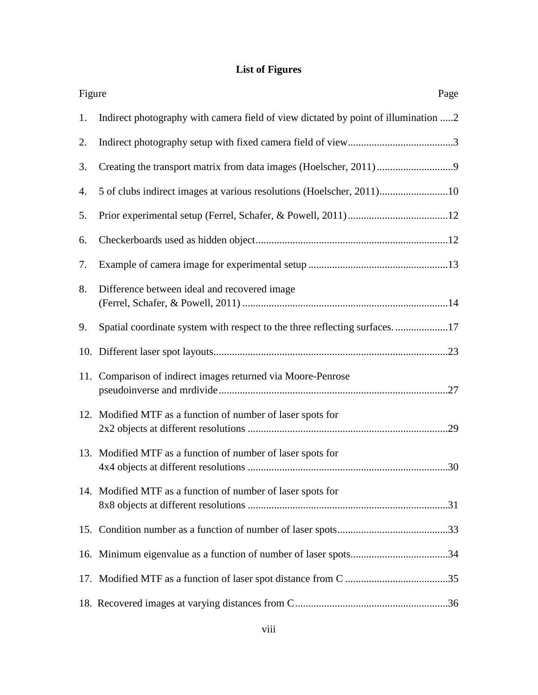## **List of Figures**

| Figure | Page                                                                               |
|--------|------------------------------------------------------------------------------------|
| 1.     | Indirect photography with camera field of view dictated by point of illumination 2 |
| 2.     |                                                                                    |
| 3.     |                                                                                    |
| 4.     | 5 of clubs indirect images at various resolutions (Hoelscher, 2011)10              |
| 5.     |                                                                                    |
| 6.     |                                                                                    |
| 7.     |                                                                                    |
| 8.     | Difference between ideal and recovered image                                       |
| 9.     | Spatial coordinate system with respect to the three reflecting surfaces17          |
|        |                                                                                    |
|        | 11. Comparison of indirect images returned via Moore-Penrose                       |
|        | 12. Modified MTF as a function of number of laser spots for                        |
|        | 13. Modified MTF as a function of number of laser spots for                        |
|        | 14. Modified MTF as a function of number of laser spots for                        |
|        |                                                                                    |
|        |                                                                                    |
|        |                                                                                    |
|        |                                                                                    |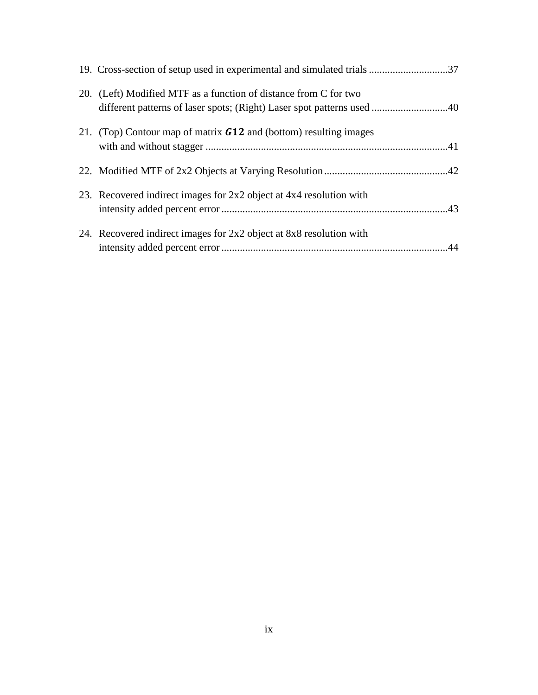| 20. (Left) Modified MTF as a function of distance from C for two<br>different patterns of laser spots; (Right) Laser spot patterns used 40 |  |
|--------------------------------------------------------------------------------------------------------------------------------------------|--|
| 21. (Top) Contour map of matrix $G12$ and (bottom) resulting images                                                                        |  |
|                                                                                                                                            |  |
| 23. Recovered indirect images for 2x2 object at 4x4 resolution with                                                                        |  |
| 24. Recovered indirect images for 2x2 object at 8x8 resolution with                                                                        |  |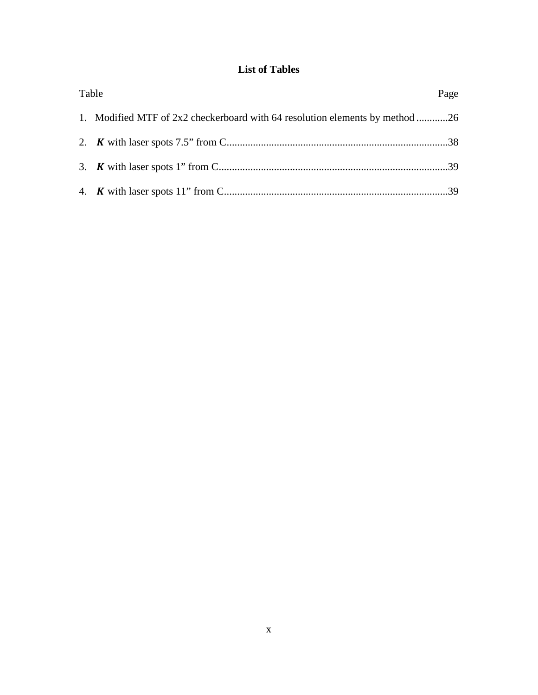## **List of Tables**

| Table                                                                        | Page |
|------------------------------------------------------------------------------|------|
| 1. Modified MTF of 2x2 checkerboard with 64 resolution elements by method 26 |      |
|                                                                              |      |
|                                                                              |      |
|                                                                              |      |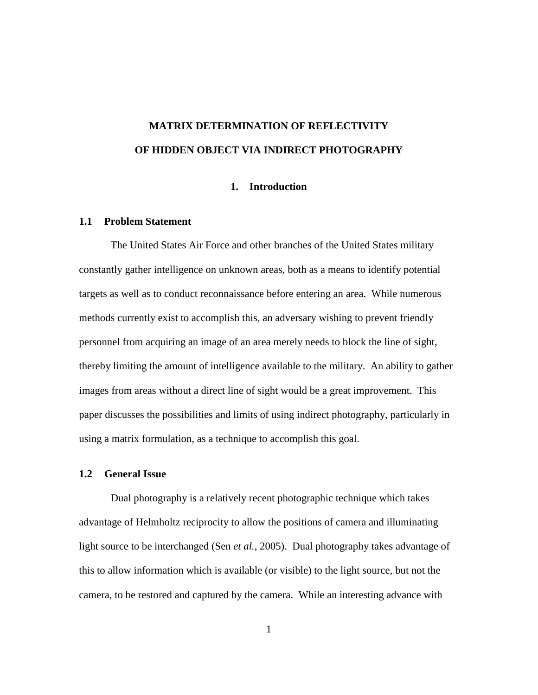## **MATRIX DETERMINATION OF REFLECTIVITY OF HIDDEN OBJECT VIA INDIRECT PHOTOGRAPHY**

#### **1. Introduction**

#### **1.1 Problem Statement**

The United States Air Force and other branches of the United States military constantly gather intelligence on unknown areas, both as a means to identify potential targets as well as to conduct reconnaissance before entering an area. While numerous methods currently exist to accomplish this, an adversary wishing to prevent friendly personnel from acquiring an image of an area merely needs to block the line of sight, thereby limiting the amount of intelligence available to the military. An ability to gather images from areas without a direct line of sight would be a great improvement. This paper discusses the possibilities and limits of using indirect photography, particularly in using a matrix formulation, as a technique to accomplish this goal.

#### **1.2 General Issue**

Dual photography is a relatively recent photographic technique which takes advantage of Helmholtz reciprocity to allow the positions of camera and illuminating light source to be interchanged (Sen *et al.*, 2005). Dual photography takes advantage of this to allow information which is available (or visible) to the light source, but not the camera, to be restored and captured by the camera. While an interesting advance with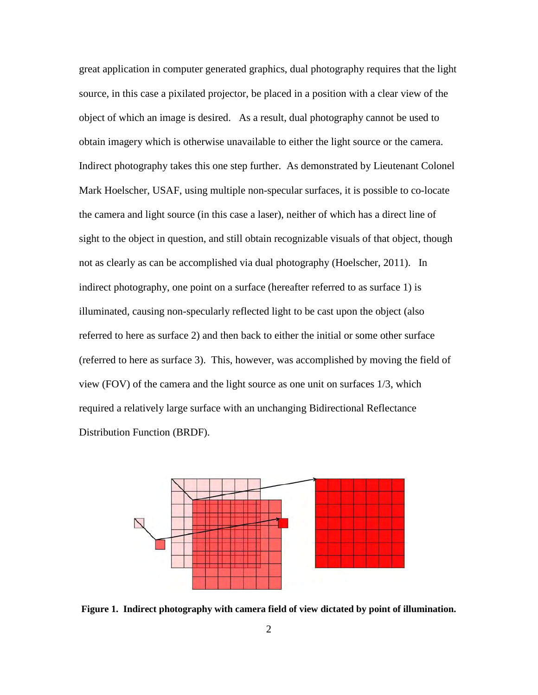great application in computer generated graphics, dual photography requires that the light source, in this case a pixilated projector, be placed in a position with a clear view of the object of which an image is desired. As a result, dual photography cannot be used to obtain imagery which is otherwise unavailable to either the light source or the camera. Indirect photography takes this one step further. As demonstrated by Lieutenant Colonel Mark Hoelscher, USAF, using multiple non-specular surfaces, it is possible to co-locate the camera and light source (in this case a laser), neither of which has a direct line of sight to the object in question, and still obtain recognizable visuals of that object, though not as clearly as can be accomplished via dual photography (Hoelscher, 2011). In indirect photography, one point on a surface (hereafter referred to as surface 1) is illuminated, causing non-specularly reflected light to be cast upon the object (also referred to here as surface 2) and then back to either the initial or some other surface (referred to here as surface 3). This, however, was accomplished by moving the field of view (FOV) of the camera and the light source as one unit on surfaces 1/3, which required a relatively large surface with an unchanging Bidirectional Reflectance Distribution Function (BRDF).



**Figure 1. Indirect photography with camera field of view dictated by point of illumination.**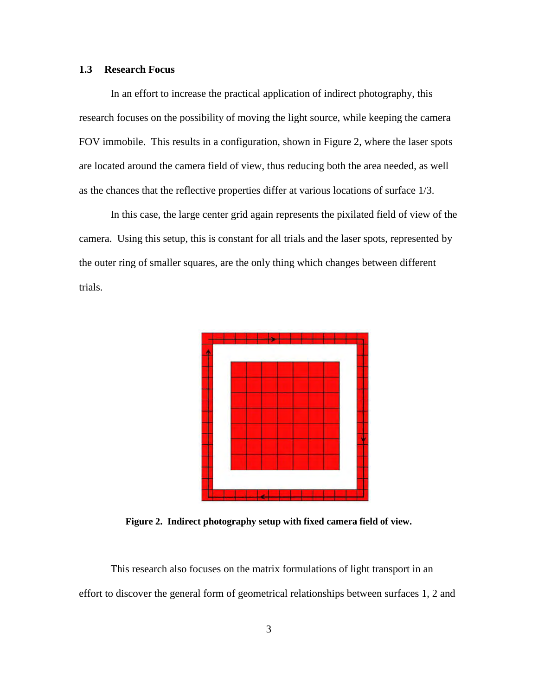#### **1.3 Research Focus**

In an effort to increase the practical application of indirect photography, this research focuses on the possibility of moving the light source, while keeping the camera FOV immobile. This results in a configuration, shown in Figure 2, where the laser spots are located around the camera field of view, thus reducing both the area needed, as well as the chances that the reflective properties differ at various locations of surface 1/3.

In this case, the large center grid again represents the pixilated field of view of the camera. Using this setup, this is constant for all trials and the laser spots, represented by the outer ring of smaller squares, are the only thing which changes between different trials.



**Figure 2. Indirect photography setup with fixed camera field of view.** 

 This research also focuses on the matrix formulations of light transport in an effort to discover the general form of geometrical relationships between surfaces 1, 2 and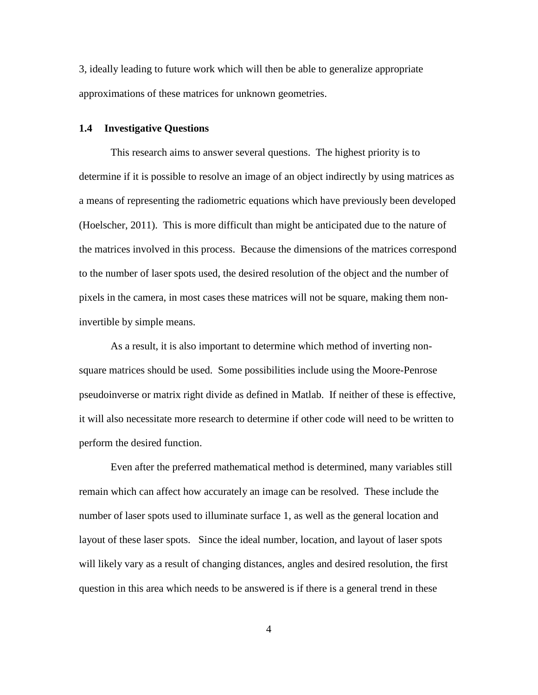3, ideally leading to future work which will then be able to generalize appropriate approximations of these matrices for unknown geometries.

#### **1.4 Investigative Questions**

This research aims to answer several questions. The highest priority is to determine if it is possible to resolve an image of an object indirectly by using matrices as a means of representing the radiometric equations which have previously been developed (Hoelscher, 2011). This is more difficult than might be anticipated due to the nature of the matrices involved in this process. Because the dimensions of the matrices correspond to the number of laser spots used, the desired resolution of the object and the number of pixels in the camera, in most cases these matrices will not be square, making them noninvertible by simple means.

As a result, it is also important to determine which method of inverting nonsquare matrices should be used. Some possibilities include using the Moore-Penrose pseudoinverse or matrix right divide as defined in Matlab. If neither of these is effective, it will also necessitate more research to determine if other code will need to be written to perform the desired function.

Even after the preferred mathematical method is determined, many variables still remain which can affect how accurately an image can be resolved. These include the number of laser spots used to illuminate surface 1, as well as the general location and layout of these laser spots. Since the ideal number, location, and layout of laser spots will likely vary as a result of changing distances, angles and desired resolution, the first question in this area which needs to be answered is if there is a general trend in these

4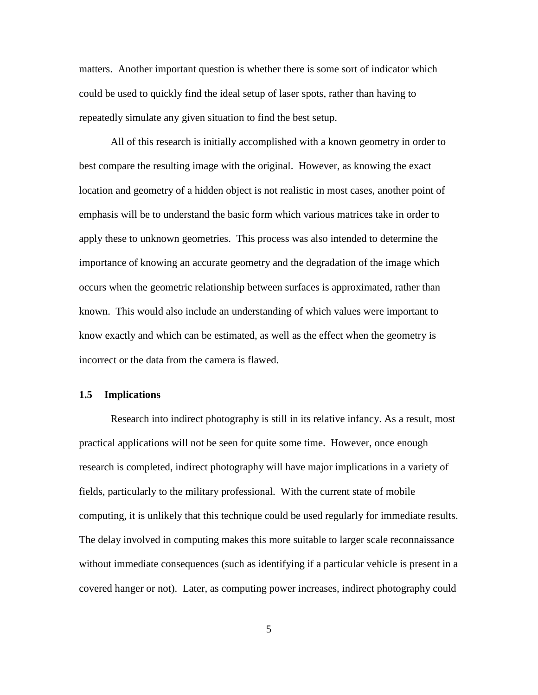matters. Another important question is whether there is some sort of indicator which could be used to quickly find the ideal setup of laser spots, rather than having to repeatedly simulate any given situation to find the best setup.

All of this research is initially accomplished with a known geometry in order to best compare the resulting image with the original. However, as knowing the exact location and geometry of a hidden object is not realistic in most cases, another point of emphasis will be to understand the basic form which various matrices take in order to apply these to unknown geometries. This process was also intended to determine the importance of knowing an accurate geometry and the degradation of the image which occurs when the geometric relationship between surfaces is approximated, rather than known. This would also include an understanding of which values were important to know exactly and which can be estimated, as well as the effect when the geometry is incorrect or the data from the camera is flawed.

#### **1.5 Implications**

Research into indirect photography is still in its relative infancy. As a result, most practical applications will not be seen for quite some time. However, once enough research is completed, indirect photography will have major implications in a variety of fields, particularly to the military professional. With the current state of mobile computing, it is unlikely that this technique could be used regularly for immediate results. The delay involved in computing makes this more suitable to larger scale reconnaissance without immediate consequences (such as identifying if a particular vehicle is present in a covered hanger or not). Later, as computing power increases, indirect photography could

5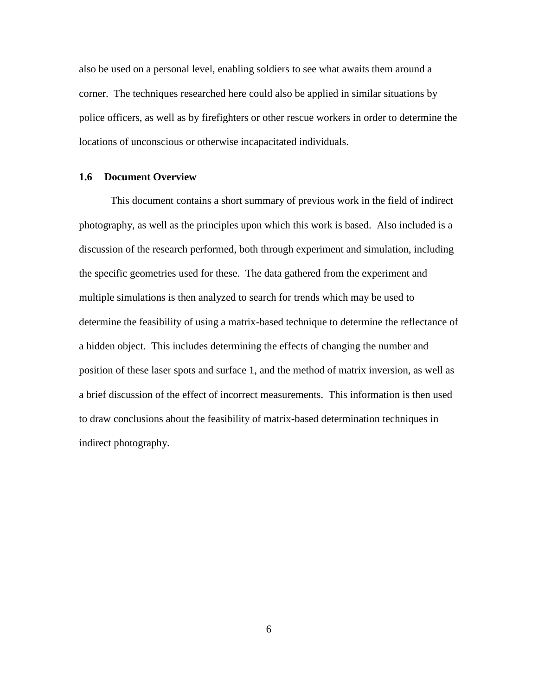also be used on a personal level, enabling soldiers to see what awaits them around a corner. The techniques researched here could also be applied in similar situations by police officers, as well as by firefighters or other rescue workers in order to determine the locations of unconscious or otherwise incapacitated individuals.

#### **1.6 Document Overview**

This document contains a short summary of previous work in the field of indirect photography, as well as the principles upon which this work is based. Also included is a discussion of the research performed, both through experiment and simulation, including the specific geometries used for these. The data gathered from the experiment and multiple simulations is then analyzed to search for trends which may be used to determine the feasibility of using a matrix-based technique to determine the reflectance of a hidden object. This includes determining the effects of changing the number and position of these laser spots and surface 1, and the method of matrix inversion, as well as a brief discussion of the effect of incorrect measurements. This information is then used to draw conclusions about the feasibility of matrix-based determination techniques in indirect photography.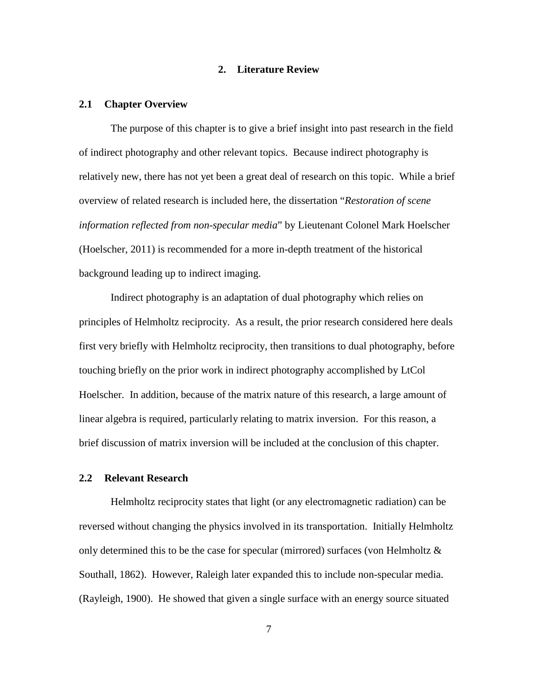#### **2. Literature Review**

#### **2.1 Chapter Overview**

The purpose of this chapter is to give a brief insight into past research in the field of indirect photography and other relevant topics. Because indirect photography is relatively new, there has not yet been a great deal of research on this topic. While a brief overview of related research is included here, the dissertation "*Restoration of scene information reflected from non-specular media*" by Lieutenant Colonel Mark Hoelscher (Hoelscher, 2011) is recommended for a more in-depth treatment of the historical background leading up to indirect imaging.

Indirect photography is an adaptation of dual photography which relies on principles of Helmholtz reciprocity. As a result, the prior research considered here deals first very briefly with Helmholtz reciprocity, then transitions to dual photography, before touching briefly on the prior work in indirect photography accomplished by LtCol Hoelscher. In addition, because of the matrix nature of this research, a large amount of linear algebra is required, particularly relating to matrix inversion. For this reason, a brief discussion of matrix inversion will be included at the conclusion of this chapter.

#### **2.2 Relevant Research**

Helmholtz reciprocity states that light (or any electromagnetic radiation) can be reversed without changing the physics involved in its transportation. Initially Helmholtz only determined this to be the case for specular (mirrored) surfaces (von Helmholtz  $\&$ Southall, 1862). However, Raleigh later expanded this to include non-specular media. (Rayleigh, 1900). He showed that given a single surface with an energy source situated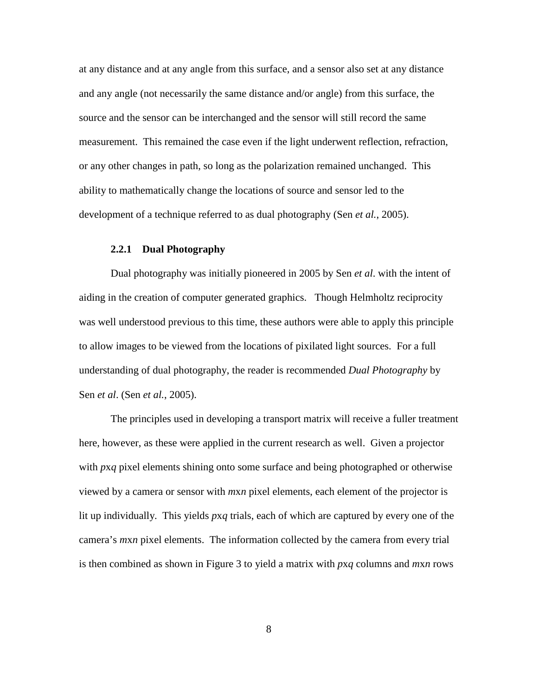at any distance and at any angle from this surface, and a sensor also set at any distance and any angle (not necessarily the same distance and/or angle) from this surface, the source and the sensor can be interchanged and the sensor will still record the same measurement. This remained the case even if the light underwent reflection, refraction, or any other changes in path, so long as the polarization remained unchanged. This ability to mathematically change the locations of source and sensor led to the development of a technique referred to as dual photography (Sen *et al.*, 2005).

#### **2.2.1 Dual Photography**

Dual photography was initially pioneered in 2005 by Sen *et al*. with the intent of aiding in the creation of computer generated graphics. Though Helmholtz reciprocity was well understood previous to this time, these authors were able to apply this principle to allow images to be viewed from the locations of pixilated light sources. For a full understanding of dual photography, the reader is recommended *Dual Photography* by Sen *et al*. (Sen *et al.*, 2005).

The principles used in developing a transport matrix will receive a fuller treatment here, however, as these were applied in the current research as well. Given a projector with *p*x*q* pixel elements shining onto some surface and being photographed or otherwise viewed by a camera or sensor with *m*x*n* pixel elements, each element of the projector is lit up individually. This yields *p*x*q* trials, each of which are captured by every one of the camera's *m*x*n* pixel elements. The information collected by the camera from every trial is then combined as shown in Figure 3 to yield a matrix with *p*x*q* columns and *m*x*n* rows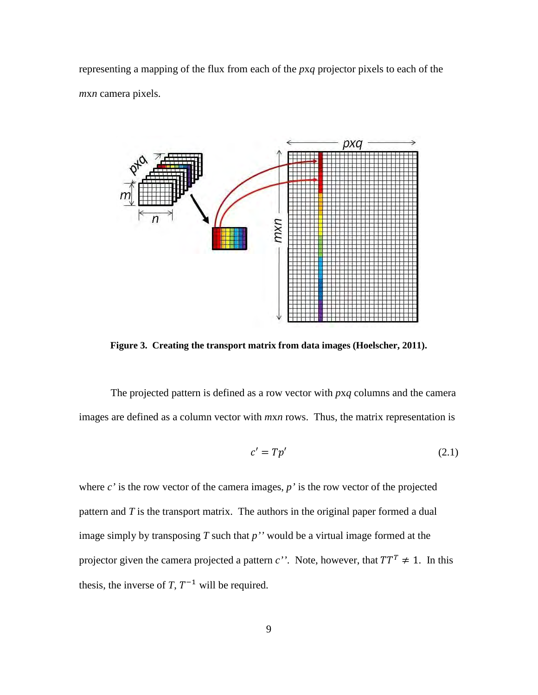representing a mapping of the flux from each of the *p*x*q* projector pixels to each of the *m*x*n* camera pixels.



**Figure 3. Creating the transport matrix from data images (Hoelscher, 2011).** 

The projected pattern is defined as a row vector with *p*x*q* columns and the camera images are defined as a column vector with *m*x*n* rows. Thus, the matrix representation is

$$
c' = T p'
$$
 (2.1)

where *c'* is the row vector of the camera images, *p'* is the row vector of the projected pattern and *T* is the transport matrix. The authors in the original paper formed a dual image simply by transposing *T* such that *p''* would be a virtual image formed at the projector given the camera projected a pattern *c*''. Note, however, that  $TT^T \neq 1$ . In this thesis, the inverse of *T*,  $T^{-1}$  will be required.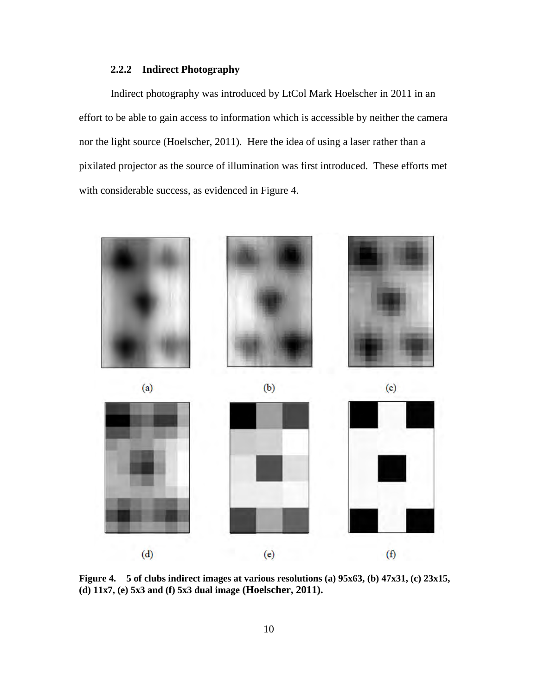### **2.2.2 Indirect Photography**

Indirect photography was introduced by LtCol Mark Hoelscher in 2011 in an effort to be able to gain access to information which is accessible by neither the camera nor the light source (Hoelscher, 2011). Here the idea of using a laser rather than a pixilated projector as the source of illumination was first introduced. These efforts met with considerable success, as evidenced in Figure 4.



**Figure 4. 5 of clubs indirect images at various resolutions (a) 95x63, (b) 47x31, (c) 23x15, (d) 11x7, (e) 5x3 and (f) 5x3 dual image (Hoelscher, 2011).**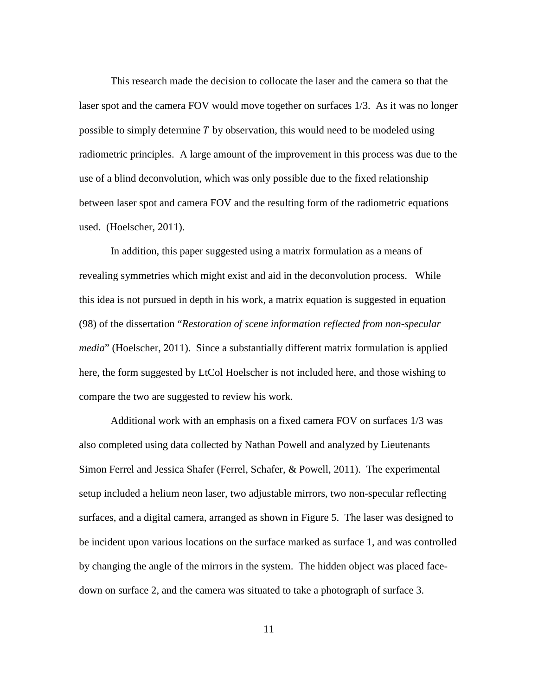This research made the decision to collocate the laser and the camera so that the laser spot and the camera FOV would move together on surfaces 1/3. As it was no longer possible to simply determine  $T$  by observation, this would need to be modeled using radiometric principles. A large amount of the improvement in this process was due to the use of a blind deconvolution, which was only possible due to the fixed relationship between laser spot and camera FOV and the resulting form of the radiometric equations used. (Hoelscher, 2011).

In addition, this paper suggested using a matrix formulation as a means of revealing symmetries which might exist and aid in the deconvolution process. While this idea is not pursued in depth in his work, a matrix equation is suggested in equation (98) of the dissertation "*Restoration of scene information reflected from non-specular media*" (Hoelscher, 2011). Since a substantially different matrix formulation is applied here, the form suggested by LtCol Hoelscher is not included here, and those wishing to compare the two are suggested to review his work.

Additional work with an emphasis on a fixed camera FOV on surfaces 1/3 was also completed using data collected by Nathan Powell and analyzed by Lieutenants Simon Ferrel and Jessica Shafer (Ferrel, Schafer, & Powell, 2011). The experimental setup included a helium neon laser, two adjustable mirrors, two non-specular reflecting surfaces, and a digital camera, arranged as shown in Figure 5. The laser was designed to be incident upon various locations on the surface marked as surface 1, and was controlled by changing the angle of the mirrors in the system. The hidden object was placed facedown on surface 2, and the camera was situated to take a photograph of surface 3.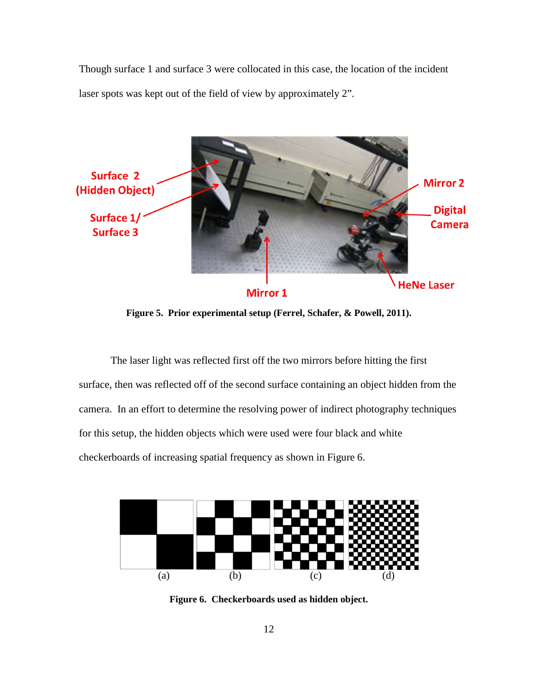Though surface 1 and surface 3 were collocated in this case, the location of the incident laser spots was kept out of the field of view by approximately 2".



**Figure 5. Prior experimental setup (Ferrel, Schafer, & Powell, 2011).** 

The laser light was reflected first off the two mirrors before hitting the first surface, then was reflected off of the second surface containing an object hidden from the camera. In an effort to determine the resolving power of indirect photography techniques for this setup, the hidden objects which were used were four black and white checkerboards of increasing spatial frequency as shown in Figure 6.



**Figure 6. Checkerboards used as hidden object.**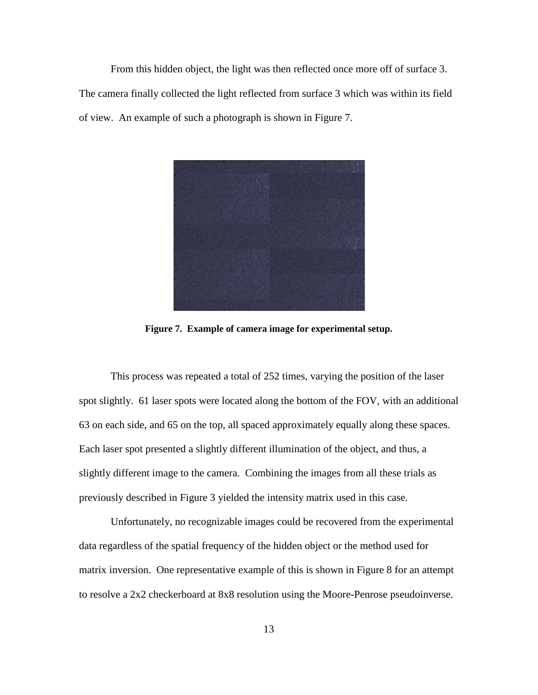From this hidden object, the light was then reflected once more off of surface 3. The camera finally collected the light reflected from surface 3 which was within its field of view. An example of such a photograph is shown in Figure 7.



**Figure 7. Example of camera image for experimental setup.** 

This process was repeated a total of 252 times, varying the position of the laser spot slightly. 61 laser spots were located along the bottom of the FOV, with an additional 63 on each side, and 65 on the top, all spaced approximately equally along these spaces. Each laser spot presented a slightly different illumination of the object, and thus, a slightly different image to the camera. Combining the images from all these trials as previously described in Figure 3 yielded the intensity matrix used in this case.

Unfortunately, no recognizable images could be recovered from the experimental data regardless of the spatial frequency of the hidden object or the method used for matrix inversion. One representative example of this is shown in Figure 8 for an attempt to resolve a 2x2 checkerboard at 8x8 resolution using the Moore-Penrose pseudoinverse.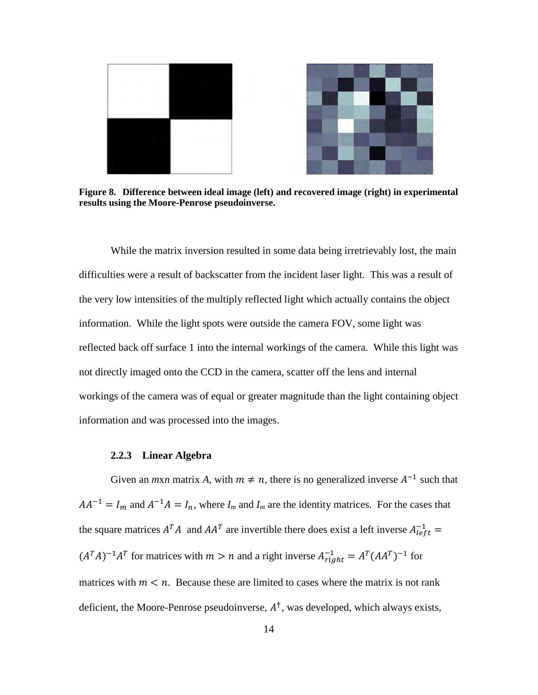

**Figure 8. Difference between ideal image (left) and recovered image (right) in experimental results using the Moore-Penrose pseudoinverse.** 

While the matrix inversion resulted in some data being irretrievably lost, the main difficulties were a result of backscatter from the incident laser light. This was a result of the very low intensities of the multiply reflected light which actually contains the object information. While the light spots were outside the camera FOV, some light was reflected back off surface 1 into the internal workings of the camera. While this light was not directly imaged onto the CCD in the camera, scatter off the lens and internal workings of the camera was of equal or greater magnitude than the light containing object information and was processed into the images.

#### **2.2.3 Linear Algebra**

Given an *mxn* matrix *A*, with  $m \neq n$ , there is no generalized inverse  $A^{-1}$  such that  $AA^{-1} = I_m$  and  $A^{-1}A = I_n$ , where  $I_m$  and  $I_m$  are the identity matrices. For the cases that the square matrices  $A^T A$  and  $A A^T$  are invertible there does exist a left inverse  $A_{left}^{-1}$  =  $(A^T A)^{-1} A^T$  for matrices with  $m > n$  and a right inverse  $A^{-1}_{right} = A^T (A A^T)^{-1}$  for matrices with  $m < n$ . Because these are limited to cases where the matrix is not rank deficient, the Moore-Penrose pseudoinverse,  $A^{\dagger}$ , was developed, which always exists,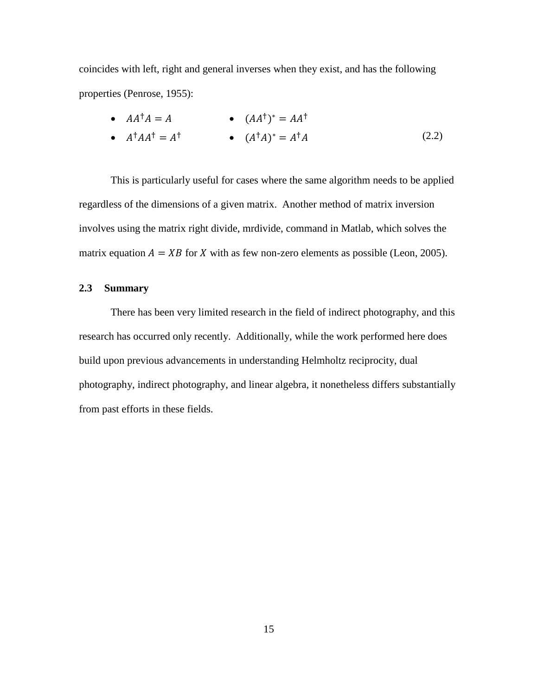coincides with left, right and general inverses when they exist, and has the following properties (Penrose, 1955):

• 
$$
AA^{\dagger}A = A
$$
  
\n•  $A^{\dagger}AA^{\dagger} = A^{\dagger}$   
\n•  $(A^{\dagger}A)^* = A^{\dagger}A$   
\n•  $(A^{\dagger}A)^* = A^{\dagger}A$  (2.2)

This is particularly useful for cases where the same algorithm needs to be applied regardless of the dimensions of a given matrix. Another method of matrix inversion involves using the matrix right divide, mrdivide, command in Matlab, which solves the matrix equation  $A = XB$  for X with as few non-zero elements as possible (Leon, 2005).

#### **2.3 Summary**

There has been very limited research in the field of indirect photography, and this research has occurred only recently. Additionally, while the work performed here does build upon previous advancements in understanding Helmholtz reciprocity, dual photography, indirect photography, and linear algebra, it nonetheless differs substantially from past efforts in these fields.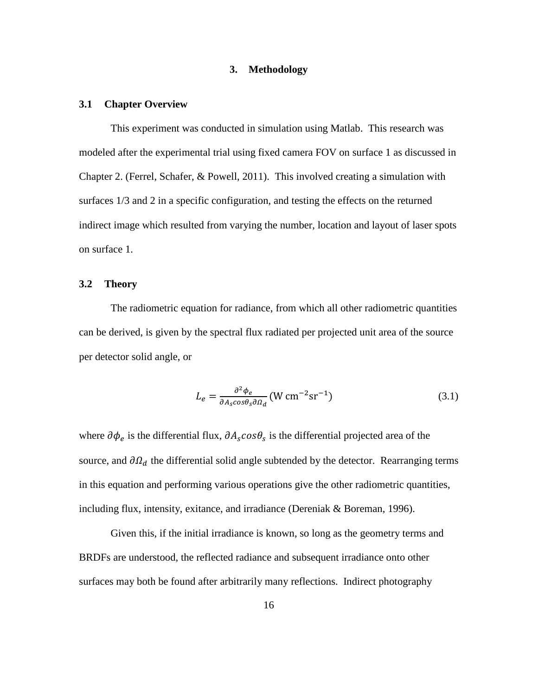#### **3. Methodology**

#### **3.1 Chapter Overview**

This experiment was conducted in simulation using Matlab. This research was modeled after the experimental trial using fixed camera FOV on surface 1 as discussed in Chapter 2. (Ferrel, Schafer, & Powell, 2011). This involved creating a simulation with surfaces 1/3 and 2 in a specific configuration, and testing the effects on the returned indirect image which resulted from varying the number, location and layout of laser spots on surface 1.

#### **3.2 Theory**

The radiometric equation for radiance, from which all other radiometric quantities can be derived, is given by the spectral flux radiated per projected unit area of the source per detector solid angle, or

$$
L_e = \frac{\partial^2 \phi_e}{\partial A_s \cos \theta_s \partial \Omega_d} (W \, \text{cm}^{-2} \text{sr}^{-1}) \tag{3.1}
$$

where  $\partial \phi_e$  is the differential flux,  $\partial A_s cos\theta_s$  is the differential projected area of the source, and  $\partial \Omega_d$  the differential solid angle subtended by the detector. Rearranging terms in this equation and performing various operations give the other radiometric quantities, including flux, intensity, exitance, and irradiance (Dereniak & Boreman, 1996).

Given this, if the initial irradiance is known, so long as the geometry terms and BRDFs are understood, the reflected radiance and subsequent irradiance onto other surfaces may both be found after arbitrarily many reflections. Indirect photography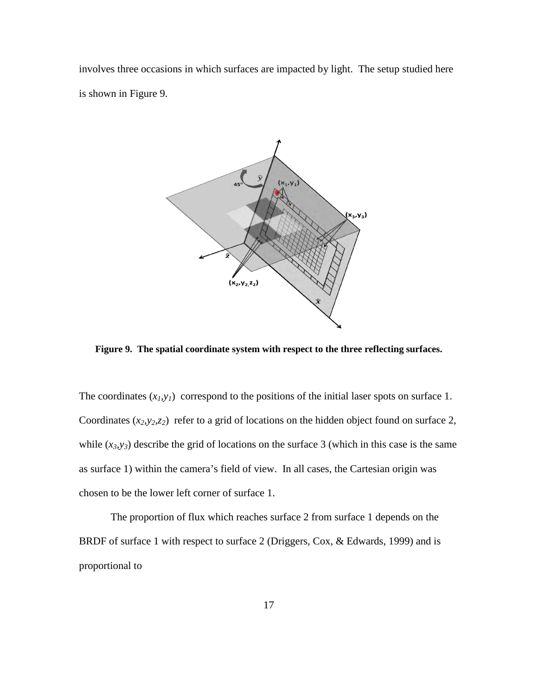involves three occasions in which surfaces are impacted by light. The setup studied here is shown in Figure 9.



**Figure 9. The spatial coordinate system with respect to the three reflecting surfaces.**

The coordinates  $(x_l, y_l)$  correspond to the positions of the initial laser spots on surface 1. Coordinates  $(x_2, y_2, z_2)$  refer to a grid of locations on the hidden object found on surface 2, while  $(x_3, y_3)$  describe the grid of locations on the surface 3 (which in this case is the same as surface 1) within the camera's field of view. In all cases, the Cartesian origin was chosen to be the lower left corner of surface 1.

The proportion of flux which reaches surface 2 from surface 1 depends on the BRDF of surface 1 with respect to surface 2 (Driggers, Cox, & Edwards, 1999) and is proportional to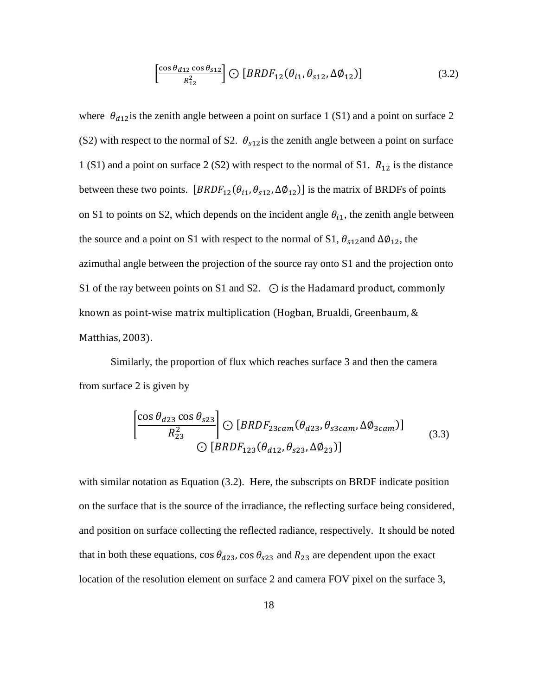$$
\left[\frac{\cos\theta_{d12}\cos\theta_{s12}}{R_{12}^2}\right] \bigodot \left[BRDF_{12}(\theta_{i1}, \theta_{s12}, \Delta\phi_{12})\right]
$$
(3.2)

where  $\theta_{d12}$  is the zenith angle between a point on surface 1 (S1) and a point on surface 2 (S2) with respect to the normal of S2.  $\theta_{s12}$  is the zenith angle between a point on surface 1 (S1) and a point on surface 2 (S2) with respect to the normal of S1.  $R_{12}$  is the distance between these two points.  $[BRDF_{12}(\theta_{i1}, \theta_{s12}, \Delta\phi_{12})]$  is the matrix of BRDFs of points on S1 to points on S2, which depends on the incident angle  $\theta_{i1}$ , the zenith angle between the source and a point on S1 with respect to the normal of S1,  $\theta_{s12}$  and  $\Delta\phi_{12}$ , the azimuthal angle between the projection of the source ray onto S1 and the projection onto S1 of the ray between points on S1 and S2.  $\odot$  is the Hadamard product, commonly known as point-wise matrix multiplication (Hogban, Brualdi, Greenbaum, & Matthias, 2003).

Similarly, the proportion of flux which reaches surface 3 and then the camera from surface 2 is given by

$$
\left[\frac{\cos\theta_{d23}\cos\theta_{s23}}{R_{23}^2}\right] \bigodot \left[BRDF_{23cam}(\theta_{d23}, \theta_{s3cam}, \Delta\phi_{3cam})\right]
$$
\n
$$
\bigodot \left[BRDF_{123}(\theta_{d12}, \theta_{s23}, \Delta\phi_{23})\right]
$$
\n(3.3)

with similar notation as Equation (3.2). Here, the subscripts on BRDF indicate position on the surface that is the source of the irradiance, the reflecting surface being considered, and position on surface collecting the reflected radiance, respectively. It should be noted that in both these equations, cos  $\theta_{d23}$ , cos  $\theta_{s23}$  and  $R_{23}$  are dependent upon the exact location of the resolution element on surface 2 and camera FOV pixel on the surface 3,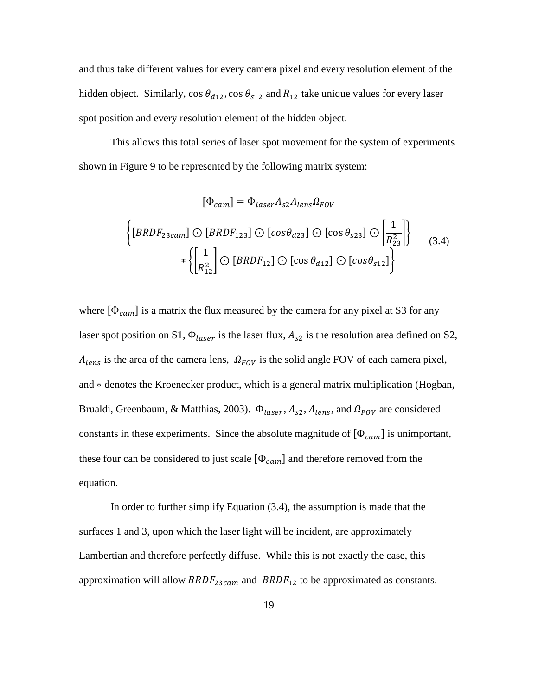and thus take different values for every camera pixel and every resolution element of the hidden object. Similarly,  $\cos \theta_{d12}$ ,  $\cos \theta_{s12}$  and  $R_{12}$  take unique values for every laser spot position and every resolution element of the hidden object.

This allows this total series of laser spot movement for the system of experiments shown in Figure 9 to be represented by the following matrix system:

$$
[\Phi_{cam}] = \Phi_{laser} A_{s2} A_{lens} \Omega_{FOV}
$$
  

$$
\left\{ [BRDF_{23cam}] \bigcirc [BRDF_{123}] \bigcirc [cos \theta_{d23}] \bigcirc [cos \theta_{s23}] \bigcirc \left[\frac{1}{R_{23}^2}\right] \right\}
$$
  

$$
*\left\{ \left[\frac{1}{R_{12}^2}\right] \bigcirc [BRDF_{12}] \bigcirc [cos \theta_{d12}] \bigcirc [cos \theta_{s12}] \right\}
$$
  
(3.4)

where  $[\Phi_{cam}]$  is a matrix the flux measured by the camera for any pixel at S3 for any laser spot position on S1,  $\Phi_{laser}$  is the laser flux,  $A_{s2}$  is the resolution area defined on S2,  $A_{lens}$  is the area of the camera lens,  $\Omega_{FOV}$  is the solid angle FOV of each camera pixel, and ∗ denotes the Kroenecker product, which is a general matrix multiplication (Hogban, Brualdi, Greenbaum, & Matthias, 2003).  $\Phi_{laser}$ ,  $A_{s2}$ ,  $A_{lens}$ , and  $\Omega_{FOV}$  are considered constants in these experiments. Since the absolute magnitude of  $[\Phi_{cam}]$  is unimportant, these four can be considered to just scale  $[\Phi_{cam}]$  and therefore removed from the equation.

In order to further simplify Equation (3.4), the assumption is made that the surfaces 1 and 3, upon which the laser light will be incident, are approximately Lambertian and therefore perfectly diffuse. While this is not exactly the case, this approximation will allow  $BRDF_{23 can}$  and  $BRDF_{12}$  to be approximated as constants.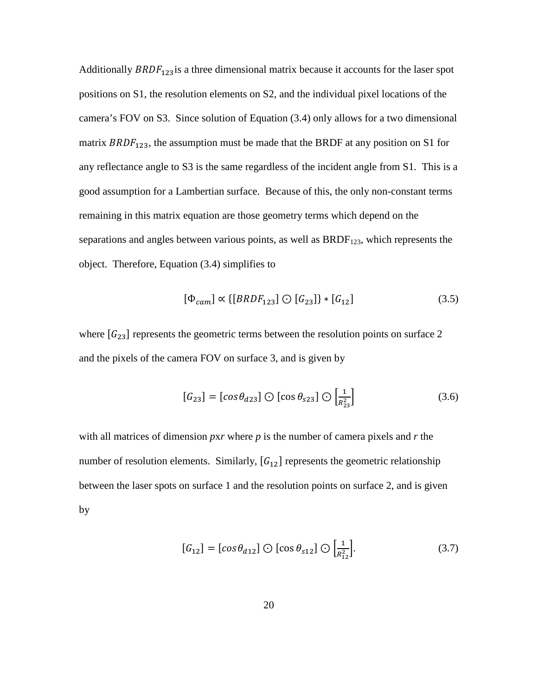Additionally  $BRDF_{123}$  is a three dimensional matrix because it accounts for the laser spot positions on S1, the resolution elements on S2, and the individual pixel locations of the camera's FOV on S3. Since solution of Equation (3.4) only allows for a two dimensional matrix  $BRDF_{123}$ , the assumption must be made that the BRDF at any position on S1 for any reflectance angle to S3 is the same regardless of the incident angle from S1. This is a good assumption for a Lambertian surface. Because of this, the only non-constant terms remaining in this matrix equation are those geometry terms which depend on the separations and angles between various points, as well as  $BRDF<sub>123</sub>$ , which represents the object. Therefore, Equation (3.4) simplifies to

$$
[\Phi_{cam}] \propto \{[BRDF_{123}] \odot [G_{23}]\} * [G_{12}] \tag{3.5}
$$

where  $[G_{23}]$  represents the geometric terms between the resolution points on surface 2 and the pixels of the camera FOV on surface 3, and is given by

$$
[G_{23}] = [cos\theta_{d23}] \bigcirc [cos\theta_{s23}] \bigcirc \left[\frac{1}{R_{23}^2}\right]
$$
 (3.6)

with all matrices of dimension *p*x*r* where *p* is the number of camera pixels and *r* the number of resolution elements. Similarly,  $[G_{12}]$  represents the geometric relationship between the laser spots on surface 1 and the resolution points on surface 2, and is given by

$$
[G_{12}] = [cos\theta_{d12}] \bigcirc [cos\theta_{s12}] \bigcirc \left[\frac{1}{R_{12}^2}\right].
$$
 (3.7)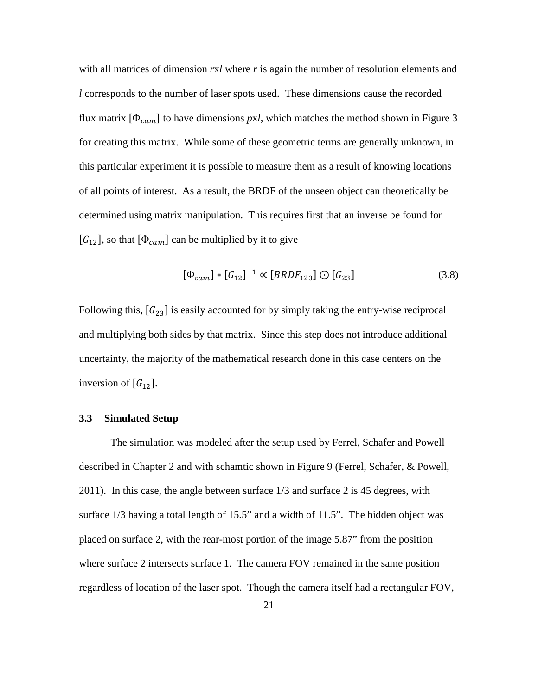with all matrices of dimension *r*x*l* where *r* is again the number of resolution elements and *l* corresponds to the number of laser spots used. These dimensions cause the recorded flux matrix  $[\Phi_{cam}]$  to have dimensions *pxl*, which matches the method shown in Figure 3 for creating this matrix. While some of these geometric terms are generally unknown, in this particular experiment it is possible to measure them as a result of knowing locations of all points of interest. As a result, the BRDF of the unseen object can theoretically be determined using matrix manipulation. This requires first that an inverse be found for  $[G_{12}]$ , so that  $[\Phi_{cam}]$  can be multiplied by it to give

$$
[\Phi_{cam}] * [G_{12}]^{-1} \propto [BRDF_{123}] \odot [G_{23}] \tag{3.8}
$$

Following this,  $[G_{23}]$  is easily accounted for by simply taking the entry-wise reciprocal and multiplying both sides by that matrix. Since this step does not introduce additional uncertainty, the majority of the mathematical research done in this case centers on the inversion of  $[G_{12}]$ .

#### **3.3 Simulated Setup**

The simulation was modeled after the setup used by Ferrel, Schafer and Powell described in Chapter 2 and with schamtic shown in Figure 9 (Ferrel, Schafer, & Powell, 2011). In this case, the angle between surface 1/3 and surface 2 is 45 degrees, with surface 1/3 having a total length of 15.5" and a width of 11.5". The hidden object was placed on surface 2, with the rear-most portion of the image 5.87" from the position where surface 2 intersects surface 1. The camera FOV remained in the same position regardless of location of the laser spot. Though the camera itself had a rectangular FOV,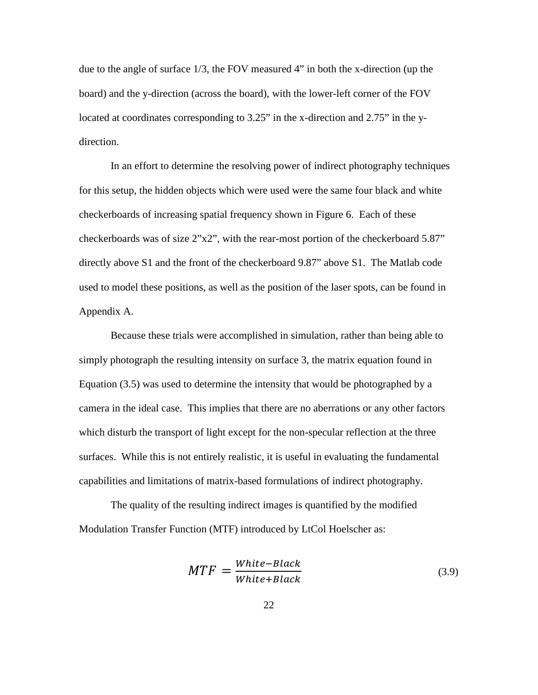due to the angle of surface 1/3, the FOV measured 4" in both the x-direction (up the board) and the y-direction (across the board), with the lower-left corner of the FOV located at coordinates corresponding to 3.25" in the x-direction and 2.75" in the ydirection.

In an effort to determine the resolving power of indirect photography techniques for this setup, the hidden objects which were used were the same four black and white checkerboards of increasing spatial frequency shown in Figure 6. Each of these checkerboards was of size 2"x2", with the rear-most portion of the checkerboard 5.87" directly above S1 and the front of the checkerboard 9.87" above S1. The Matlab code used to model these positions, as well as the position of the laser spots, can be found in Appendix A.

Because these trials were accomplished in simulation, rather than being able to simply photograph the resulting intensity on surface 3, the matrix equation found in Equation (3.5) was used to determine the intensity that would be photographed by a camera in the ideal case. This implies that there are no aberrations or any other factors which disturb the transport of light except for the non-specular reflection at the three surfaces. While this is not entirely realistic, it is useful in evaluating the fundamental capabilities and limitations of matrix-based formulations of indirect photography.

The quality of the resulting indirect images is quantified by the modified Modulation Transfer Function (MTF) introduced by LtCol Hoelscher as:

$$
MTF = \frac{White-Black}{White+Black}
$$
\n(3.9)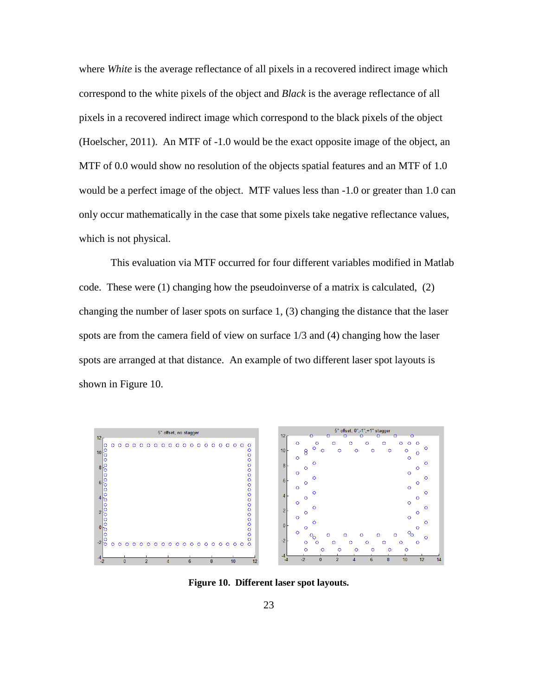where *White* is the average reflectance of all pixels in a recovered indirect image which correspond to the white pixels of the object and *Black* is the average reflectance of all pixels in a recovered indirect image which correspond to the black pixels of the object (Hoelscher, 2011). An MTF of -1.0 would be the exact opposite image of the object, an MTF of 0.0 would show no resolution of the objects spatial features and an MTF of 1.0 would be a perfect image of the object. MTF values less than -1.0 or greater than 1.0 can only occur mathematically in the case that some pixels take negative reflectance values, which is not physical.

This evaluation via MTF occurred for four different variables modified in Matlab code. These were (1) changing how the pseudoinverse of a matrix is calculated, (2) changing the number of laser spots on surface 1, (3) changing the distance that the laser spots are from the camera field of view on surface 1/3 and (4) changing how the laser spots are arranged at that distance. An example of two different laser spot layouts is shown in Figure 10.



**Figure 10. Different laser spot layouts.**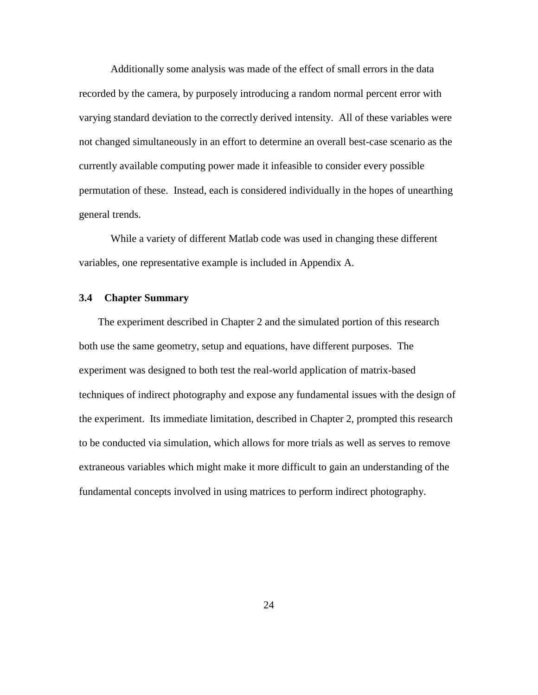Additionally some analysis was made of the effect of small errors in the data recorded by the camera, by purposely introducing a random normal percent error with varying standard deviation to the correctly derived intensity. All of these variables were not changed simultaneously in an effort to determine an overall best-case scenario as the currently available computing power made it infeasible to consider every possible permutation of these. Instead, each is considered individually in the hopes of unearthing general trends.

While a variety of different Matlab code was used in changing these different variables, one representative example is included in Appendix A.

#### **3.4 Chapter Summary**

The experiment described in Chapter 2 and the simulated portion of this research both use the same geometry, setup and equations, have different purposes. The experiment was designed to both test the real-world application of matrix-based techniques of indirect photography and expose any fundamental issues with the design of the experiment. Its immediate limitation, described in Chapter 2, prompted this research to be conducted via simulation, which allows for more trials as well as serves to remove extraneous variables which might make it more difficult to gain an understanding of the fundamental concepts involved in using matrices to perform indirect photography.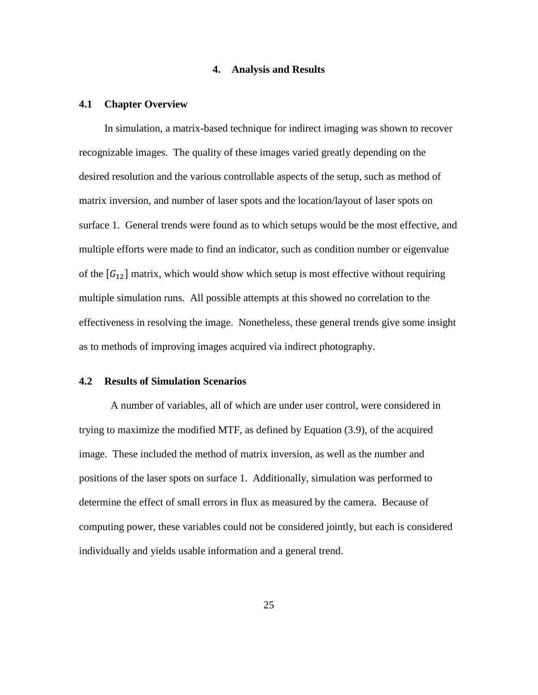#### **4. Analysis and Results**

#### **4.1 Chapter Overview**

In simulation, a matrix-based technique for indirect imaging was shown to recover recognizable images. The quality of these images varied greatly depending on the desired resolution and the various controllable aspects of the setup, such as method of matrix inversion, and number of laser spots and the location/layout of laser spots on surface 1. General trends were found as to which setups would be the most effective, and multiple efforts were made to find an indicator, such as condition number or eigenvalue of the  $[G_{12}]$  matrix, which would show which setup is most effective without requiring multiple simulation runs. All possible attempts at this showed no correlation to the effectiveness in resolving the image. Nonetheless, these general trends give some insight as to methods of improving images acquired via indirect photography.

#### **4.2 Results of Simulation Scenarios**

A number of variables, all of which are under user control, were considered in trying to maximize the modified MTF, as defined by Equation (3.9), of the acquired image. These included the method of matrix inversion, as well as the number and positions of the laser spots on surface 1. Additionally, simulation was performed to determine the effect of small errors in flux as measured by the camera. Because of computing power, these variables could not be considered jointly, but each is considered individually and yields usable information and a general trend.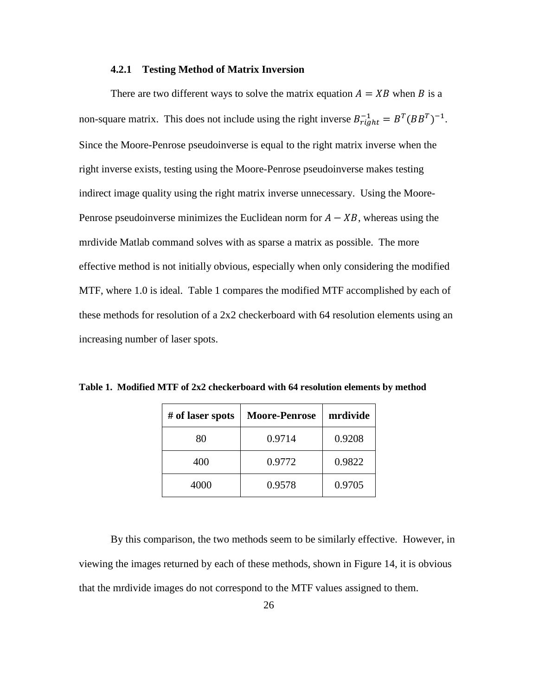#### **4.2.1 Testing Method of Matrix Inversion**

There are two different ways to solve the matrix equation  $A = XB$  when B is a non-square matrix. This does not include using the right inverse  $B_{right}^{-1} = B^{T} (BB^{T})^{-1}$ . Since the Moore-Penrose pseudoinverse is equal to the right matrix inverse when the right inverse exists, testing using the Moore-Penrose pseudoinverse makes testing indirect image quality using the right matrix inverse unnecessary. Using the Moore-Penrose pseudoinverse minimizes the Euclidean norm for  $A - XB$ , whereas using the mrdivide Matlab command solves with as sparse a matrix as possible. The more effective method is not initially obvious, especially when only considering the modified MTF, where 1.0 is ideal. Table 1 compares the modified MTF accomplished by each of these methods for resolution of a 2x2 checkerboard with 64 resolution elements using an increasing number of laser spots.

| # of laser spots | <b>Moore-Penrose</b> | mrdivide |
|------------------|----------------------|----------|
| 80               | 0.9714               | 0.9208   |
| 400              | 0.9772               | 0.9822   |
| 4000             | 0.9578               | 0.9705   |

**Table 1. Modified MTF of 2x2 checkerboard with 64 resolution elements by method**

By this comparison, the two methods seem to be similarly effective. However, in viewing the images returned by each of these methods, shown in Figure 14, it is obvious that the mrdivide images do not correspond to the MTF values assigned to them.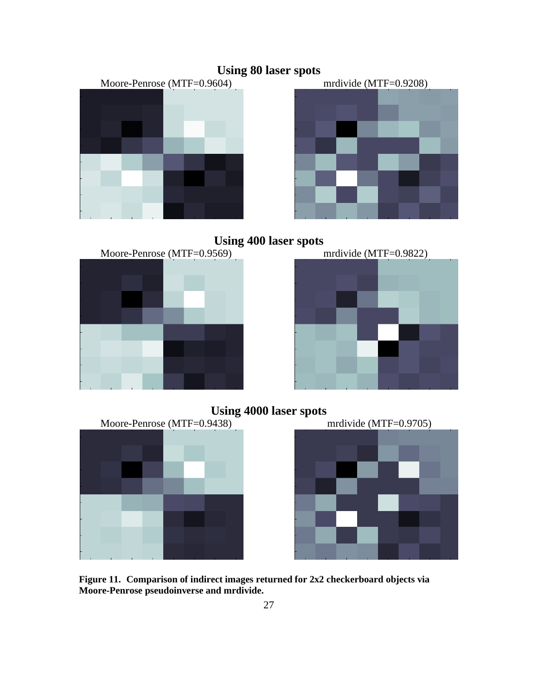













**Figure 11. Comparison of indirect images returned for 2x2 checkerboard objects via Moore-Penrose pseudoinverse and mrdivide.** 

## **Using 80 laser spots**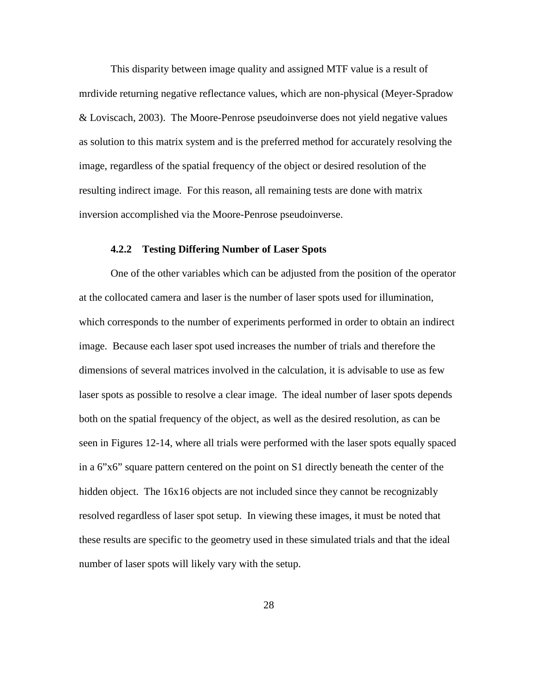This disparity between image quality and assigned MTF value is a result of mrdivide returning negative reflectance values, which are non-physical (Meyer-Spradow & Loviscach, 2003). The Moore-Penrose pseudoinverse does not yield negative values as solution to this matrix system and is the preferred method for accurately resolving the image, regardless of the spatial frequency of the object or desired resolution of the resulting indirect image. For this reason, all remaining tests are done with matrix inversion accomplished via the Moore-Penrose pseudoinverse.

#### **4.2.2 Testing Differing Number of Laser Spots**

One of the other variables which can be adjusted from the position of the operator at the collocated camera and laser is the number of laser spots used for illumination, which corresponds to the number of experiments performed in order to obtain an indirect image. Because each laser spot used increases the number of trials and therefore the dimensions of several matrices involved in the calculation, it is advisable to use as few laser spots as possible to resolve a clear image. The ideal number of laser spots depends both on the spatial frequency of the object, as well as the desired resolution, as can be seen in Figures 12-14, where all trials were performed with the laser spots equally spaced in a 6"x6" square pattern centered on the point on S1 directly beneath the center of the hidden object. The 16x16 objects are not included since they cannot be recognizably resolved regardless of laser spot setup. In viewing these images, it must be noted that these results are specific to the geometry used in these simulated trials and that the ideal number of laser spots will likely vary with the setup.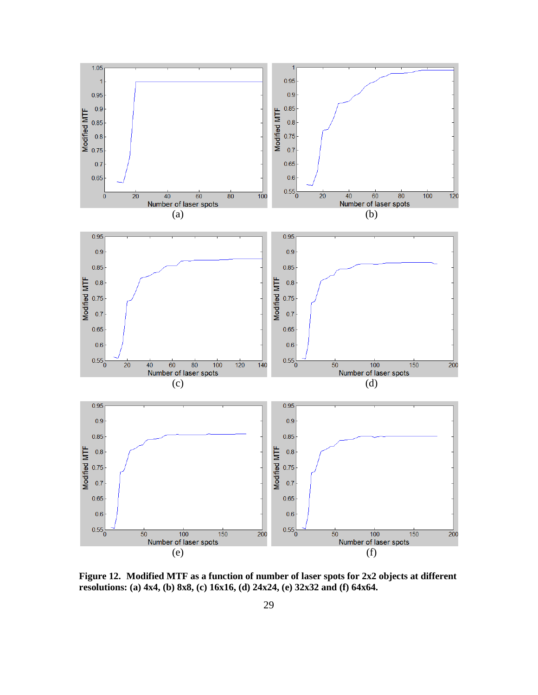

**Figure 12. Modified MTF as a function of number of laser spots for 2x2 objects at different resolutions: (a) 4x4, (b) 8x8, (c) 16x16, (d) 24x24, (e) 32x32 and (f) 64x64.**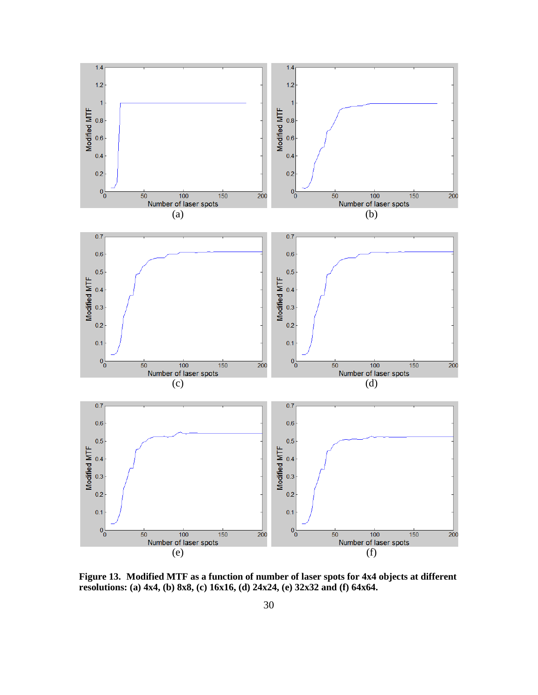

**Figure 13. Modified MTF as a function of number of laser spots for 4x4 objects at different resolutions: (a) 4x4, (b) 8x8, (c) 16x16, (d) 24x24, (e) 32x32 and (f) 64x64.**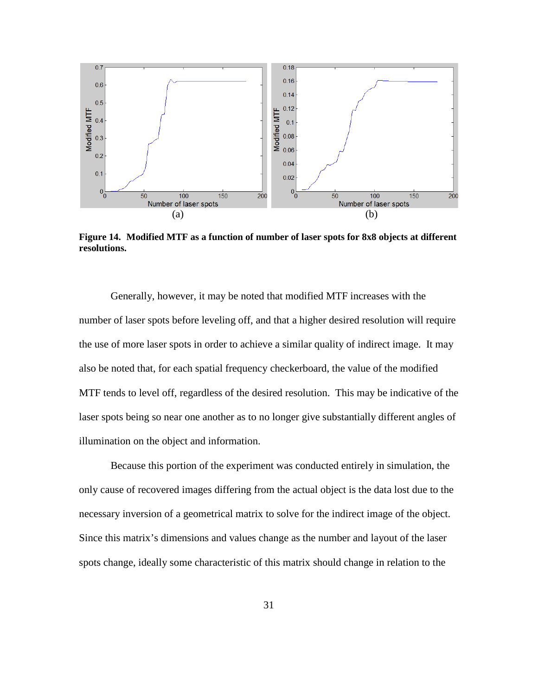

**Figure 14. Modified MTF as a function of number of laser spots for 8x8 objects at different resolutions.** 

Generally, however, it may be noted that modified MTF increases with the number of laser spots before leveling off, and that a higher desired resolution will require the use of more laser spots in order to achieve a similar quality of indirect image. It may also be noted that, for each spatial frequency checkerboard, the value of the modified MTF tends to level off, regardless of the desired resolution. This may be indicative of the laser spots being so near one another as to no longer give substantially different angles of illumination on the object and information.

Because this portion of the experiment was conducted entirely in simulation, the only cause of recovered images differing from the actual object is the data lost due to the necessary inversion of a geometrical matrix to solve for the indirect image of the object. Since this matrix's dimensions and values change as the number and layout of the laser spots change, ideally some characteristic of this matrix should change in relation to the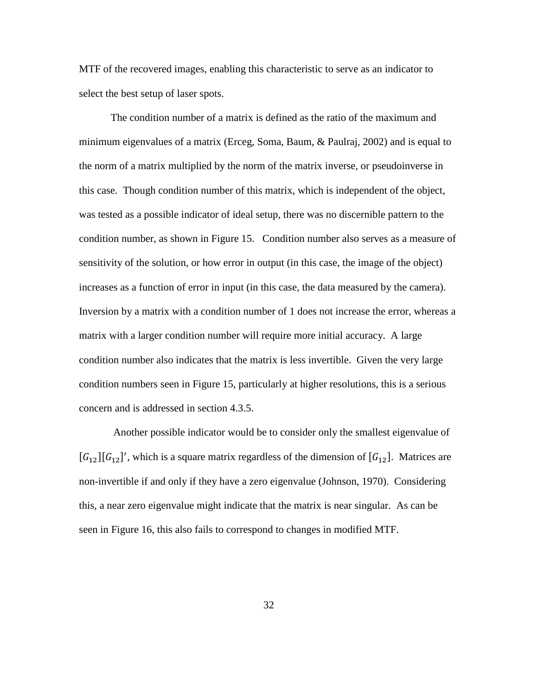MTF of the recovered images, enabling this characteristic to serve as an indicator to select the best setup of laser spots.

The condition number of a matrix is defined as the ratio of the maximum and minimum eigenvalues of a matrix (Erceg, Soma, Baum, & Paulraj, 2002) and is equal to the norm of a matrix multiplied by the norm of the matrix inverse, or pseudoinverse in this case. Though condition number of this matrix, which is independent of the object, was tested as a possible indicator of ideal setup, there was no discernible pattern to the condition number, as shown in Figure 15. Condition number also serves as a measure of sensitivity of the solution, or how error in output (in this case, the image of the object) increases as a function of error in input (in this case, the data measured by the camera). Inversion by a matrix with a condition number of 1 does not increase the error, whereas a matrix with a larger condition number will require more initial accuracy. A large condition number also indicates that the matrix is less invertible. Given the very large condition numbers seen in Figure 15, particularly at higher resolutions, this is a serious concern and is addressed in section 4.3.5.

 Another possible indicator would be to consider only the smallest eigenvalue of  $[G_{12}][G_{12}]'$ , which is a square matrix regardless of the dimension of  $[G_{12}]$ . Matrices are non-invertible if and only if they have a zero eigenvalue (Johnson, 1970). Considering this, a near zero eigenvalue might indicate that the matrix is near singular. As can be seen in Figure 16, this also fails to correspond to changes in modified MTF.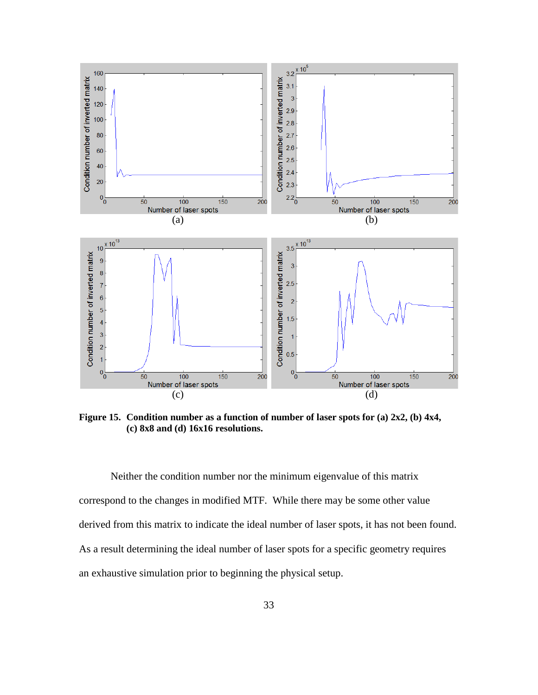

**Figure 15. Condition number as a function of number of laser spots for (a) 2x2, (b) 4x4, (c) 8x8 and (d) 16x16 resolutions.** 

Neither the condition number nor the minimum eigenvalue of this matrix correspond to the changes in modified MTF. While there may be some other value derived from this matrix to indicate the ideal number of laser spots, it has not been found. As a result determining the ideal number of laser spots for a specific geometry requires an exhaustive simulation prior to beginning the physical setup.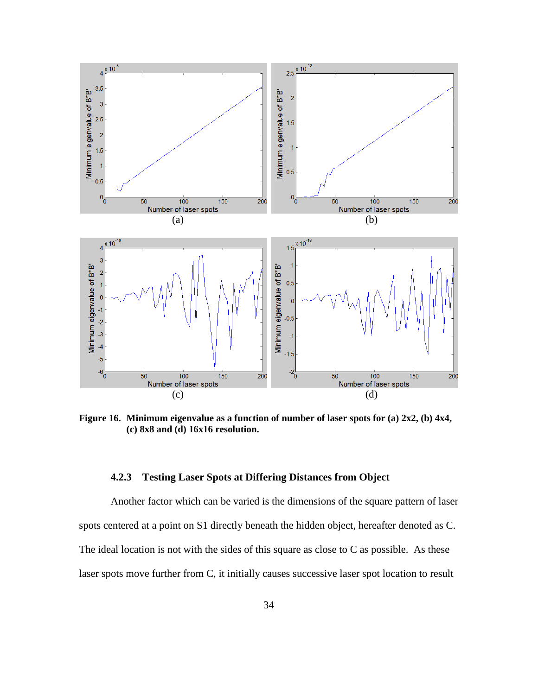

**Figure 16. Minimum eigenvalue as a function of number of laser spots for (a) 2x2, (b) 4x4, (c) 8x8 and (d) 16x16 resolution.** 

#### **4.2.3 Testing Laser Spots at Differing Distances from Object**

Another factor which can be varied is the dimensions of the square pattern of laser spots centered at a point on S1 directly beneath the hidden object, hereafter denoted as C. The ideal location is not with the sides of this square as close to  $C$  as possible. As these laser spots move further from C, it initially causes successive laser spot location to result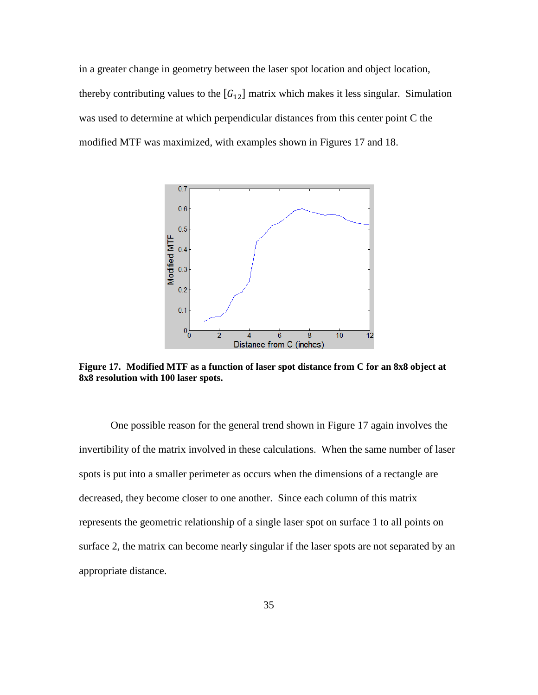in a greater change in geometry between the laser spot location and object location, thereby contributing values to the  $[G_{12}]$  matrix which makes it less singular. Simulation was used to determine at which perpendicular distances from this center point C the modified MTF was maximized, with examples shown in Figures 17 and 18.



**Figure 17. Modified MTF as a function of laser spot distance from C for an 8x8 object at 8x8 resolution with 100 laser spots.** 

One possible reason for the general trend shown in Figure 17 again involves the invertibility of the matrix involved in these calculations. When the same number of laser spots is put into a smaller perimeter as occurs when the dimensions of a rectangle are decreased, they become closer to one another. Since each column of this matrix represents the geometric relationship of a single laser spot on surface 1 to all points on surface 2, the matrix can become nearly singular if the laser spots are not separated by an appropriate distance.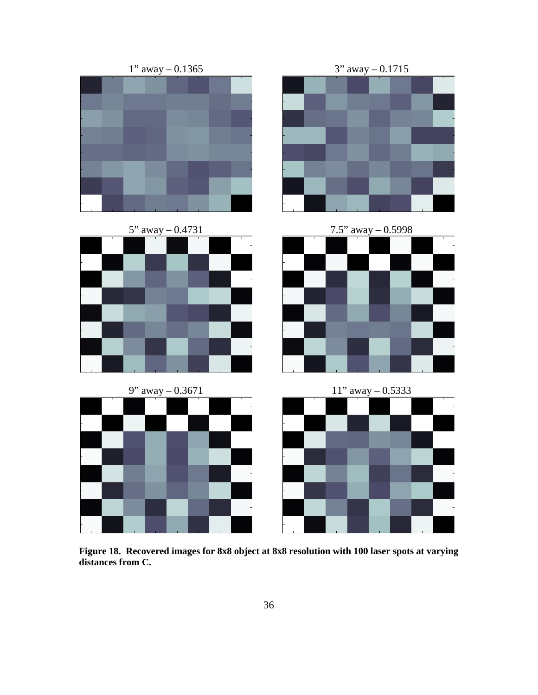

**Figure 18. Recovered images for 8x8 object at 8x8 resolution with 100 laser spots at varying distances from C.**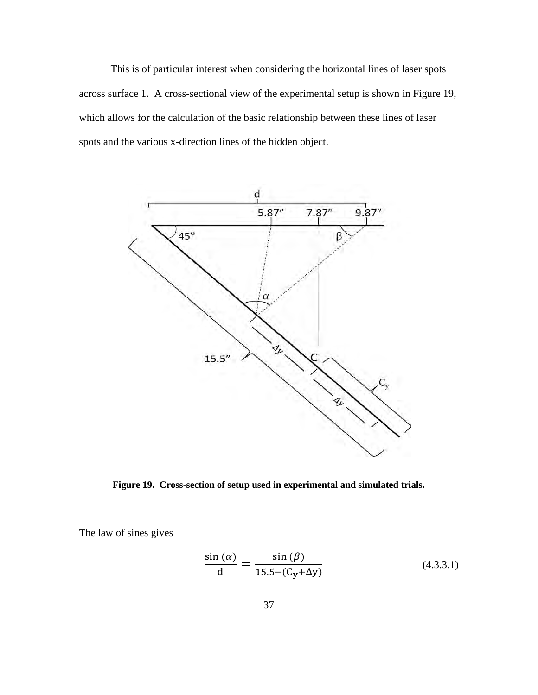This is of particular interest when considering the horizontal lines of laser spots across surface 1. A cross-sectional view of the experimental setup is shown in Figure 19, which allows for the calculation of the basic relationship between these lines of laser spots and the various x-direction lines of the hidden object.



**Figure 19. Cross-section of setup used in experimental and simulated trials.** 

The law of sines gives

$$
\frac{\sin\left(\alpha\right)}{\mathrm{d}} = \frac{\sin\left(\beta\right)}{15.5 - \left(\mathrm{C_y} + \Delta y\right)}\tag{4.3.3.1}
$$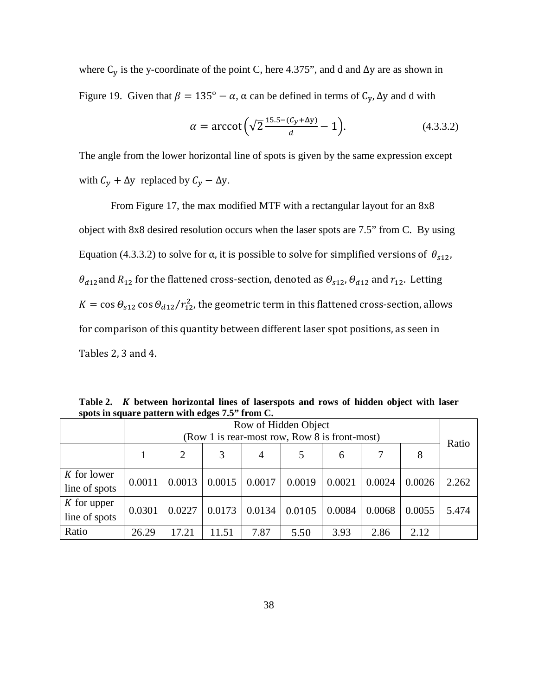where  $C_y$  is the y-coordinate of the point C, here 4.375", and d and  $\Delta y$  are as shown in Figure 19. Given that  $\beta = 135^\circ - \alpha$ ,  $\alpha$  can be defined in terms of  $C_v$ ,  $\Delta y$  and d with

$$
\alpha = \arccot \Big(\sqrt{2} \frac{15.5 - (C_y + \Delta y)}{d} - 1\Big). \tag{4.3.3.2}
$$

The angle from the lower horizontal line of spots is given by the same expression except with  $C_y + \Delta y$  replaced by  $C_y - \Delta y$ .

From Figure 17, the max modified MTF with a rectangular layout for an 8x8 object with 8x8 desired resolution occurs when the laser spots are 7.5" from C. By using Equation (4.3.3.2) to solve for  $\alpha$ , it is possible to solve for simplified versions of  $\theta_{s12}$ ,  $\theta_{d12}$  and  $R_{12}$  for the flattened cross-section, denoted as  $\theta_{s12}$ ,  $\theta_{d12}$  and  $r_{12}$ . Letting  $K = \cos\theta_{s12} \cos\theta_{d12} / r_{12}^2$ , the geometric term in this flattened cross-section, allows for comparison of this quantity between different laser spot positions, as seen in Tables 2, 3 and 4.

**Table 2. between horizontal lines of laserspots and rows of hidden object with laser spots in square pattern with edges 7.5" from C.** 

|                                | Row of Hidden Object<br>(Row 1 is rear-most row, Row 8 is front-most) |        |        |        |        |        |        |        |       |  |
|--------------------------------|-----------------------------------------------------------------------|--------|--------|--------|--------|--------|--------|--------|-------|--|
|                                |                                                                       | 2      |        | 4      |        | 6      | 7      | 8      | Ratio |  |
| K for lower<br>line of spots   | 0.0011                                                                | 0.0013 | 0.0015 | 0.0017 | 0.0019 | 0.0021 | 0.0024 | 0.0026 | 2.262 |  |
| $K$ for upper<br>line of spots | 0.0301                                                                | 0.0227 | 0.0173 | 0.0134 | 0.0105 | 0.0084 | 0.0068 | 0.0055 | 5.474 |  |
| Ratio                          | 26.29                                                                 | 17.21  | 11.51  | 7.87   | 5.50   | 3.93   | 2.86   | 2.12   |       |  |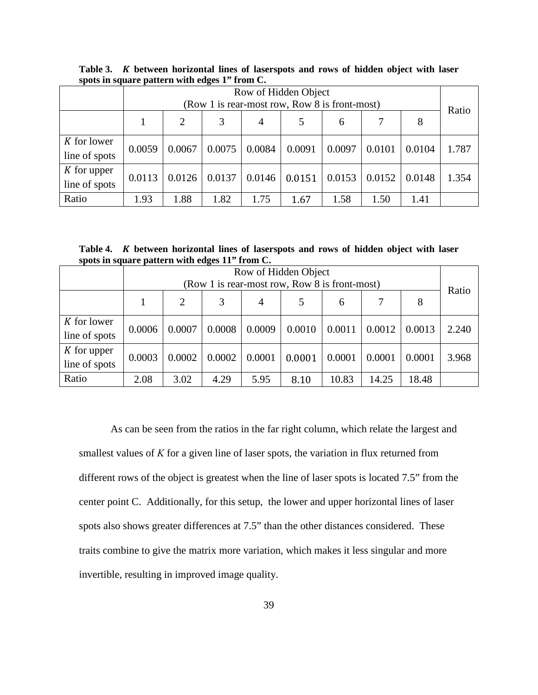|                                | Row of Hidden Object<br>(Row 1 is rear-most row, Row 8 is front-most) |        |        |        |        |        |        |        |       |
|--------------------------------|-----------------------------------------------------------------------|--------|--------|--------|--------|--------|--------|--------|-------|
|                                |                                                                       |        |        |        |        |        |        |        | Ratio |
|                                |                                                                       | 2      | 3      | 4      |        | 6      | 7      | 8      |       |
| K for lower<br>line of spots   | 0.0059                                                                | 0.0067 | 0.0075 | 0.0084 | 0.0091 | 0.0097 | 0.0101 | 0.0104 | 1.787 |
| $K$ for upper<br>line of spots | 0.0113                                                                | 0.0126 | 0.0137 | 0.0146 | 0.0151 | 0.0153 | 0.0152 | 0.0148 | 1.354 |
| Ratio                          | 1.93                                                                  | 1.88   | 1.82   | 1.75   | 1.67   | 1.58   | 1.50   | 1.41   |       |

**Table 3. between horizontal lines of laserspots and rows of hidden object with laser spots in square pattern with edges 1" from C.** 

Table 4. *K* between horizontal lines of laserspots and rows of hidden object with laser **spots in square pattern with edges 11" from C.** 

|                                | Row of Hidden Object<br>(Row 1 is rear-most row, Row 8 is front-most) |                                     |        |        |        |        |        |        |       |  |
|--------------------------------|-----------------------------------------------------------------------|-------------------------------------|--------|--------|--------|--------|--------|--------|-------|--|
|                                |                                                                       | Ratio<br>8<br>7<br>2<br>3<br>4<br>6 |        |        |        |        |        |        |       |  |
| K for lower<br>line of spots   | 0.0006                                                                | 0.0007                              | 0.0008 | 0.0009 | 0.0010 | 0.0011 | 0.0012 | 0.0013 | 2.240 |  |
| $K$ for upper<br>line of spots | 0.0003                                                                | 0.0002                              | 0.0002 | 0.0001 | 0.0001 | 0.0001 | 0.0001 | 0.0001 | 3.968 |  |
| Ratio                          | 2.08                                                                  | 3.02                                | 4.29   | 5.95   | 8.10   | 10.83  | 14.25  | 18.48  |       |  |

As can be seen from the ratios in the far right column, which relate the largest and smallest values of *K* for a given line of laser spots, the variation in flux returned from different rows of the object is greatest when the line of laser spots is located 7.5" from the center point C. Additionally, for this setup, the lower and upper horizontal lines of laser spots also shows greater differences at 7.5" than the other distances considered. These traits combine to give the matrix more variation, which makes it less singular and more invertible, resulting in improved image quality.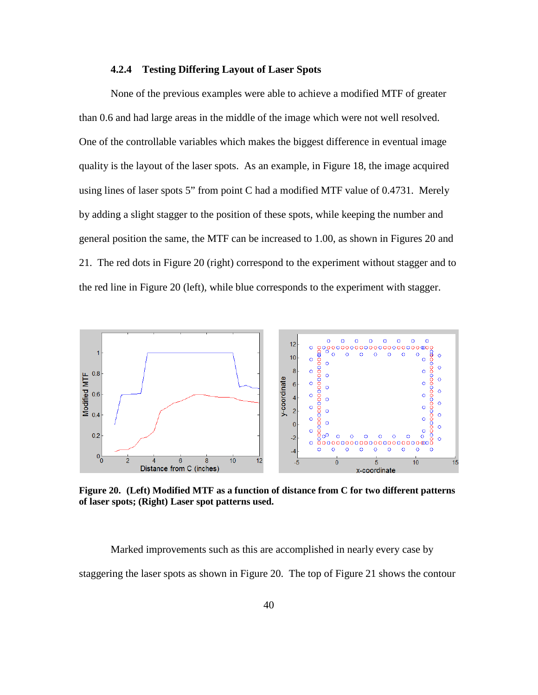#### **4.2.4 Testing Differing Layout of Laser Spots**

None of the previous examples were able to achieve a modified MTF of greater than 0.6 and had large areas in the middle of the image which were not well resolved. One of the controllable variables which makes the biggest difference in eventual image quality is the layout of the laser spots. As an example, in Figure 18, the image acquired using lines of laser spots 5" from point C had a modified MTF value of 0.4731. Merely by adding a slight stagger to the position of these spots, while keeping the number and general position the same, the MTF can be increased to 1.00, as shown in Figures 20 and 21. The red dots in Figure 20 (right) correspond to the experiment without stagger and to the red line in Figure 20 (left), while blue corresponds to the experiment with stagger.

![](_page_51_Figure_2.jpeg)

**Figure 20. (Left) Modified MTF as a function of distance from C for two different patterns of laser spots; (Right) Laser spot patterns used.** 

Marked improvements such as this are accomplished in nearly every case by staggering the laser spots as shown in Figure 20. The top of Figure 21 shows the contour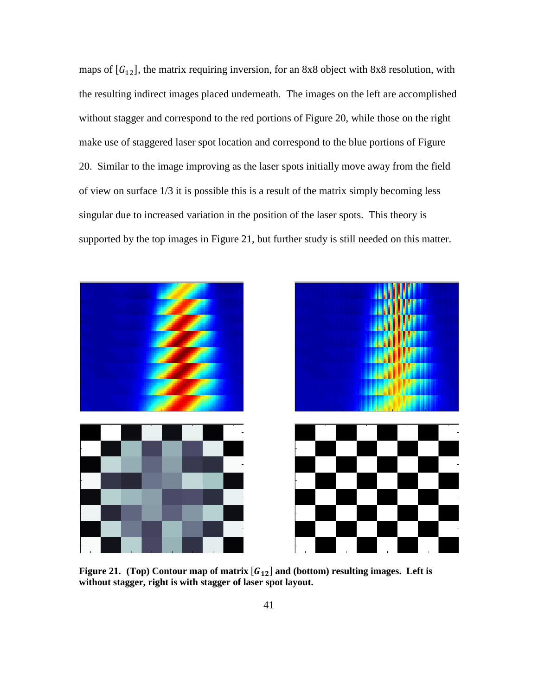maps of  $[G_{12}]$ , the matrix requiring inversion, for an 8x8 object with 8x8 resolution, with the resulting indirect images placed underneath. The images on the left are accomplished without stagger and correspond to the red portions of Figure 20, while those on the right make use of staggered laser spot location and correspond to the blue portions of Figure 20. Similar to the image improving as the laser spots initially move away from the field of view on surface 1/3 it is possible this is a result of the matrix simply becoming less singular due to increased variation in the position of the laser spots. This theory is supported by the top images in Figure 21, but further study is still needed on this matter.

![](_page_52_Figure_1.jpeg)

**Figure 21.** (Top) Contour map of matrix  $[G_{12}]$  and (bottom) resulting images. Left is **without stagger, right is with stagger of laser spot layout.**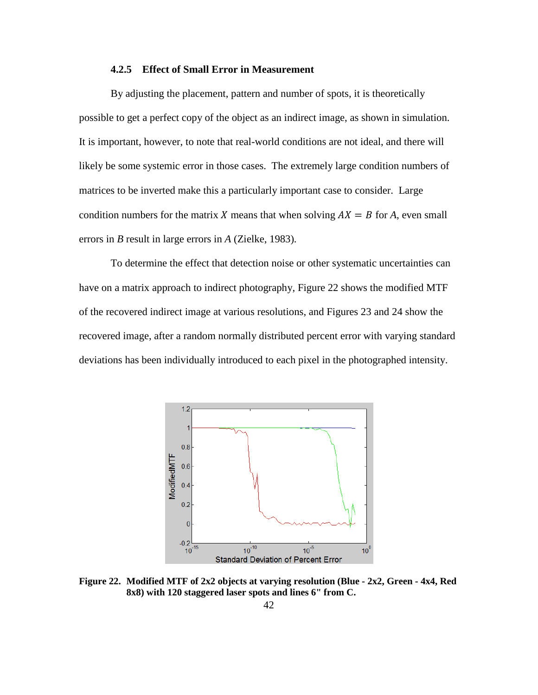#### **4.2.5 Effect of Small Error in Measurement**

By adjusting the placement, pattern and number of spots, it is theoretically possible to get a perfect copy of the object as an indirect image, as shown in simulation. It is important, however, to note that real-world conditions are not ideal, and there will likely be some systemic error in those cases. The extremely large condition numbers of matrices to be inverted make this a particularly important case to consider. Large condition numbers for the matrix X means that when solving  $AX = B$  for A, even small errors in *B* result in large errors in *A* (Zielke, 1983)*.*

To determine the effect that detection noise or other systematic uncertainties can have on a matrix approach to indirect photography, Figure 22 shows the modified MTF of the recovered indirect image at various resolutions, and Figures 23 and 24 show the recovered image, after a random normally distributed percent error with varying standard deviations has been individually introduced to each pixel in the photographed intensity.

![](_page_53_Figure_3.jpeg)

**Figure 22. Modified MTF of 2x2 objects at varying resolution (Blue - 2x2, Green - 4x4, Red 8x8) with 120 staggered laser spots and lines 6" from C.**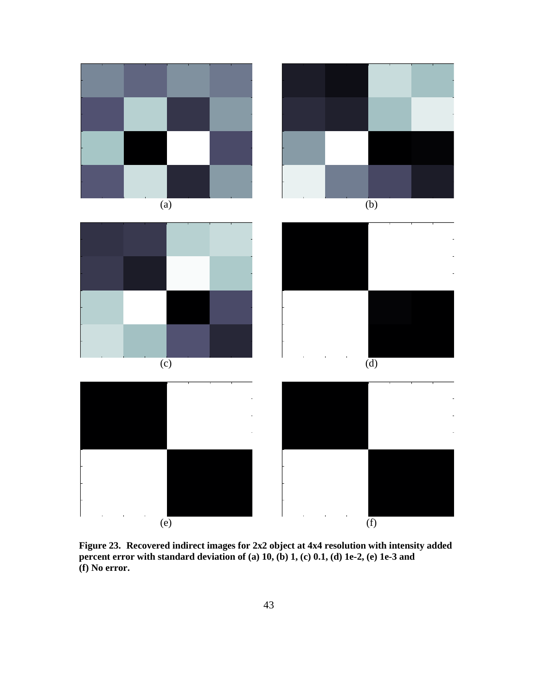![](_page_54_Figure_0.jpeg)

**Figure 23. Recovered indirect images for 2x2 object at 4x4 resolution with intensity added percent error with standard deviation of (a) 10, (b) 1, (c) 0.1, (d) 1e-2, (e) 1e-3 and (f) No error.**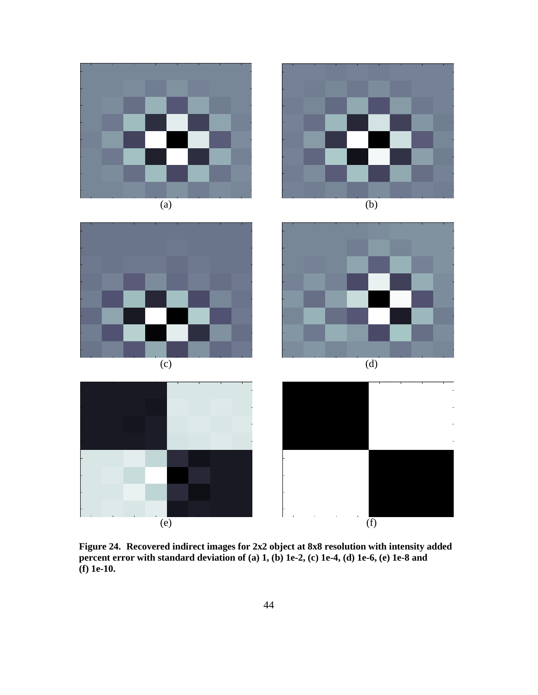![](_page_55_Figure_0.jpeg)

**Figure 24. Recovered indirect images for 2x2 object at 8x8 resolution with intensity added percent error with standard deviation of (a) 1, (b) 1e-2, (c) 1e-4, (d) 1e-6, (e) 1e-8 and (f) 1e-10.**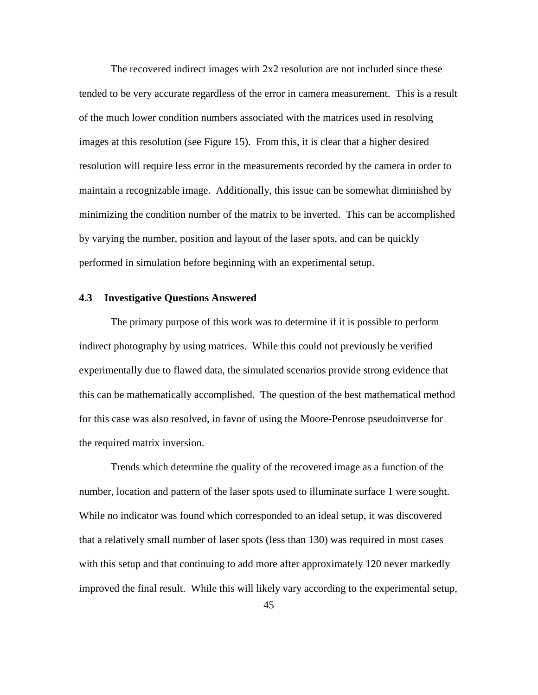The recovered indirect images with 2x2 resolution are not included since these tended to be very accurate regardless of the error in camera measurement. This is a result of the much lower condition numbers associated with the matrices used in resolving images at this resolution (see Figure 15). From this, it is clear that a higher desired resolution will require less error in the measurements recorded by the camera in order to maintain a recognizable image. Additionally, this issue can be somewhat diminished by minimizing the condition number of the matrix to be inverted. This can be accomplished by varying the number, position and layout of the laser spots, and can be quickly performed in simulation before beginning with an experimental setup.

#### **4.3 Investigative Questions Answered**

The primary purpose of this work was to determine if it is possible to perform indirect photography by using matrices. While this could not previously be verified experimentally due to flawed data, the simulated scenarios provide strong evidence that this can be mathematically accomplished. The question of the best mathematical method for this case was also resolved, in favor of using the Moore-Penrose pseudoinverse for the required matrix inversion.

Trends which determine the quality of the recovered image as a function of the number, location and pattern of the laser spots used to illuminate surface 1 were sought. While no indicator was found which corresponded to an ideal setup, it was discovered that a relatively small number of laser spots (less than 130) was required in most cases with this setup and that continuing to add more after approximately 120 never markedly improved the final result. While this will likely vary according to the experimental setup,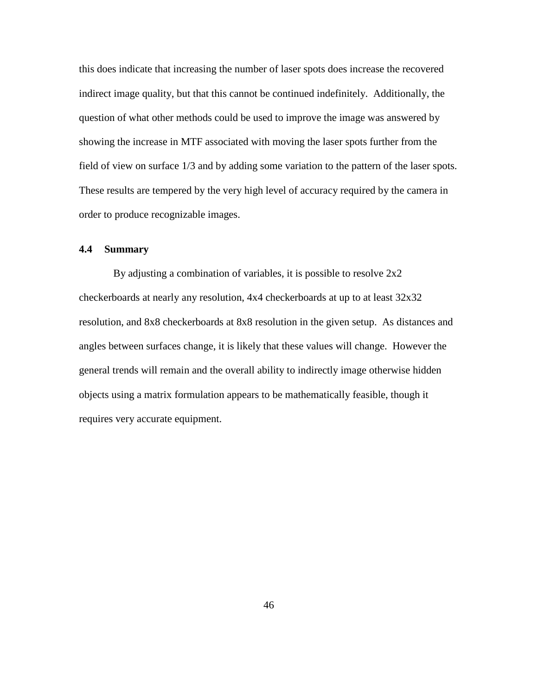this does indicate that increasing the number of laser spots does increase the recovered indirect image quality, but that this cannot be continued indefinitely. Additionally, the question of what other methods could be used to improve the image was answered by showing the increase in MTF associated with moving the laser spots further from the field of view on surface 1/3 and by adding some variation to the pattern of the laser spots. These results are tempered by the very high level of accuracy required by the camera in order to produce recognizable images.

#### **4.4 Summary**

 By adjusting a combination of variables, it is possible to resolve 2x2 checkerboards at nearly any resolution, 4x4 checkerboards at up to at least 32x32 resolution, and 8x8 checkerboards at 8x8 resolution in the given setup. As distances and angles between surfaces change, it is likely that these values will change. However the general trends will remain and the overall ability to indirectly image otherwise hidden objects using a matrix formulation appears to be mathematically feasible, though it requires very accurate equipment.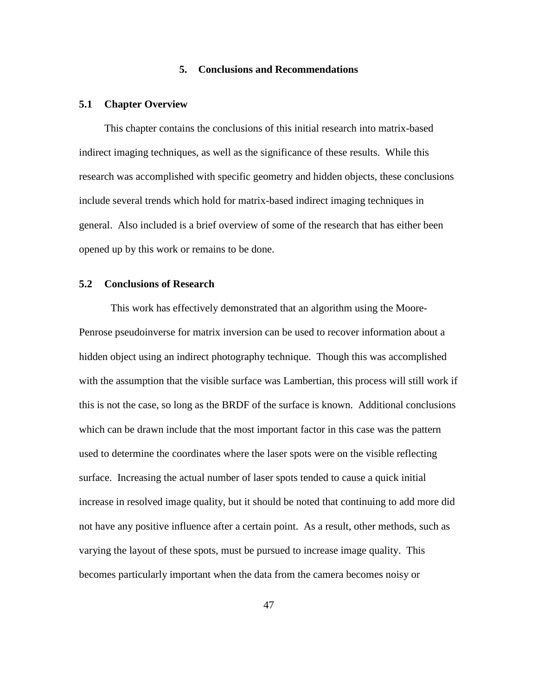#### **5. Conclusions and Recommendations**

#### **5.1 Chapter Overview**

This chapter contains the conclusions of this initial research into matrix-based indirect imaging techniques, as well as the significance of these results. While this research was accomplished with specific geometry and hidden objects, these conclusions include several trends which hold for matrix-based indirect imaging techniques in general. Also included is a brief overview of some of the research that has either been opened up by this work or remains to be done.

#### **5.2 Conclusions of Research**

This work has effectively demonstrated that an algorithm using the Moore-Penrose pseudoinverse for matrix inversion can be used to recover information about a hidden object using an indirect photography technique. Though this was accomplished with the assumption that the visible surface was Lambertian, this process will still work if this is not the case, so long as the BRDF of the surface is known. Additional conclusions which can be drawn include that the most important factor in this case was the pattern used to determine the coordinates where the laser spots were on the visible reflecting surface. Increasing the actual number of laser spots tended to cause a quick initial increase in resolved image quality, but it should be noted that continuing to add more did not have any positive influence after a certain point. As a result, other methods, such as varying the layout of these spots, must be pursued to increase image quality. This becomes particularly important when the data from the camera becomes noisy or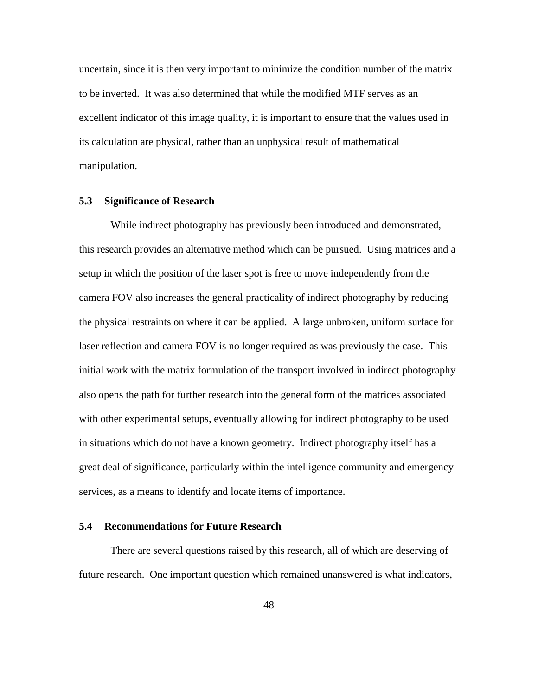uncertain, since it is then very important to minimize the condition number of the matrix to be inverted. It was also determined that while the modified MTF serves as an excellent indicator of this image quality, it is important to ensure that the values used in its calculation are physical, rather than an unphysical result of mathematical manipulation.

#### **5.3 Significance of Research**

While indirect photography has previously been introduced and demonstrated, this research provides an alternative method which can be pursued. Using matrices and a setup in which the position of the laser spot is free to move independently from the camera FOV also increases the general practicality of indirect photography by reducing the physical restraints on where it can be applied. A large unbroken, uniform surface for laser reflection and camera FOV is no longer required as was previously the case. This initial work with the matrix formulation of the transport involved in indirect photography also opens the path for further research into the general form of the matrices associated with other experimental setups, eventually allowing for indirect photography to be used in situations which do not have a known geometry. Indirect photography itself has a great deal of significance, particularly within the intelligence community and emergency services, as a means to identify and locate items of importance.

#### **5.4 Recommendations for Future Research**

There are several questions raised by this research, all of which are deserving of future research. One important question which remained unanswered is what indicators,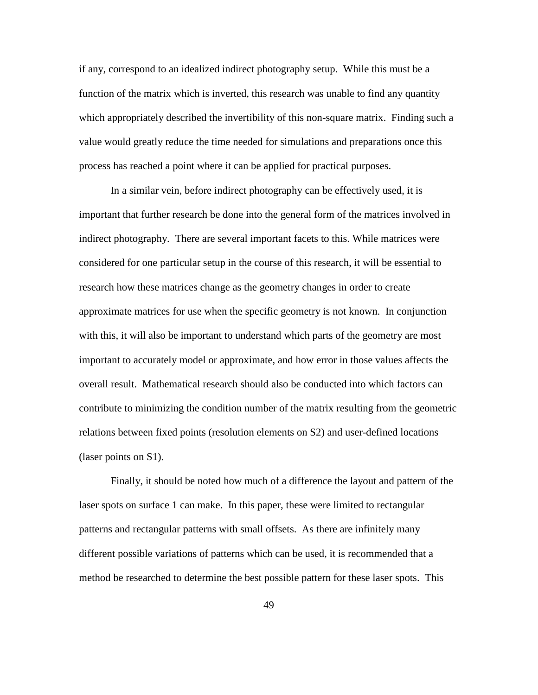if any, correspond to an idealized indirect photography setup. While this must be a function of the matrix which is inverted, this research was unable to find any quantity which appropriately described the invertibility of this non-square matrix. Finding such a value would greatly reduce the time needed for simulations and preparations once this process has reached a point where it can be applied for practical purposes.

In a similar vein, before indirect photography can be effectively used, it is important that further research be done into the general form of the matrices involved in indirect photography. There are several important facets to this. While matrices were considered for one particular setup in the course of this research, it will be essential to research how these matrices change as the geometry changes in order to create approximate matrices for use when the specific geometry is not known. In conjunction with this, it will also be important to understand which parts of the geometry are most important to accurately model or approximate, and how error in those values affects the overall result. Mathematical research should also be conducted into which factors can contribute to minimizing the condition number of the matrix resulting from the geometric relations between fixed points (resolution elements on S2) and user-defined locations (laser points on S1).

Finally, it should be noted how much of a difference the layout and pattern of the laser spots on surface 1 can make. In this paper, these were limited to rectangular patterns and rectangular patterns with small offsets. As there are infinitely many different possible variations of patterns which can be used, it is recommended that a method be researched to determine the best possible pattern for these laser spots. This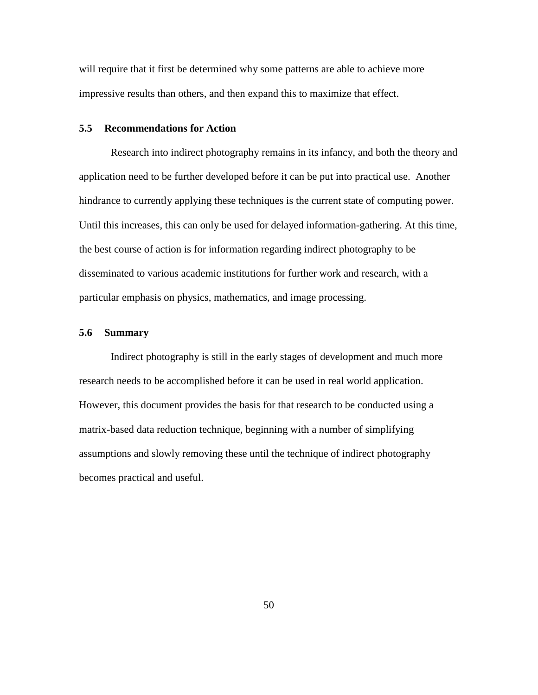will require that it first be determined why some patterns are able to achieve more impressive results than others, and then expand this to maximize that effect.

#### **5.5 Recommendations for Action**

Research into indirect photography remains in its infancy, and both the theory and application need to be further developed before it can be put into practical use. Another hindrance to currently applying these techniques is the current state of computing power. Until this increases, this can only be used for delayed information-gathering. At this time, the best course of action is for information regarding indirect photography to be disseminated to various academic institutions for further work and research, with a particular emphasis on physics, mathematics, and image processing.

#### **5.6 Summary**

Indirect photography is still in the early stages of development and much more research needs to be accomplished before it can be used in real world application. However, this document provides the basis for that research to be conducted using a matrix-based data reduction technique, beginning with a number of simplifying assumptions and slowly removing these until the technique of indirect photography becomes practical and useful.

50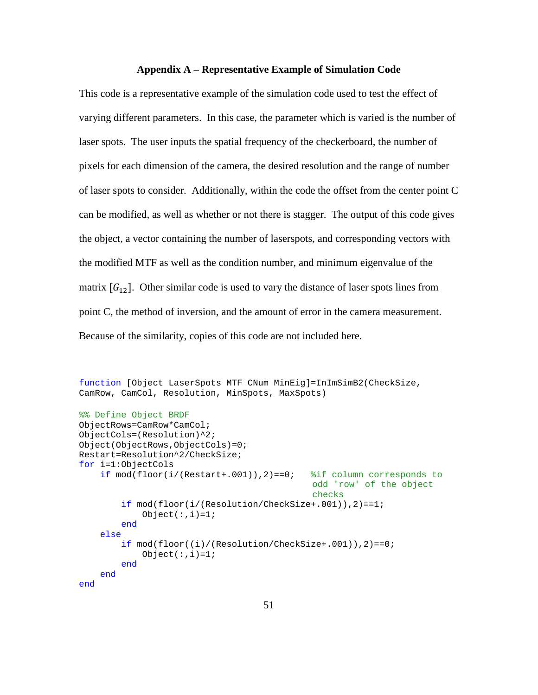#### **Appendix A – Representative Example of Simulation Code**

This code is a representative example of the simulation code used to test the effect of varying different parameters. In this case, the parameter which is varied is the number of laser spots. The user inputs the spatial frequency of the checkerboard, the number of pixels for each dimension of the camera, the desired resolution and the range of number of laser spots to consider. Additionally, within the code the offset from the center point C can be modified, as well as whether or not there is stagger. The output of this code gives the object, a vector containing the number of laserspots, and corresponding vectors with the modified MTF as well as the condition number, and minimum eigenvalue of the matrix  $[G_{12}]$ . Other similar code is used to vary the distance of laser spots lines from point C, the method of inversion, and the amount of error in the camera measurement. Because of the similarity, copies of this code are not included here.

```
function [Object LaserSpots MTF CNum MinEig]=InImSimB2(CheckSize, 
CamRow, CamCol, Resolution, MinSpots, MaxSpots)
%% Define Object BRDF
ObjectRows=CamRow*CamCol;
ObjectCols=(Resolution)^2;
Object(ObjectRows,ObjectCols)=0;
Restart=Resolution^2/CheckSize;
for i=1:ObjectCols
    if mod(floor(i/(Restart+.001)), 2) == 0; & \\in corresponds to
                                            odd 'row' of the object 
                                             checks
         if mod(floor(i/(Resolution/CheckSize+.001)),2)==1;
            Object(i,i)=1;
         end
     else
         if mod(floor((i)/(Resolution/CheckSize+.001)),2)==0;
            Object(i,i)=1;
         end
     end
end
```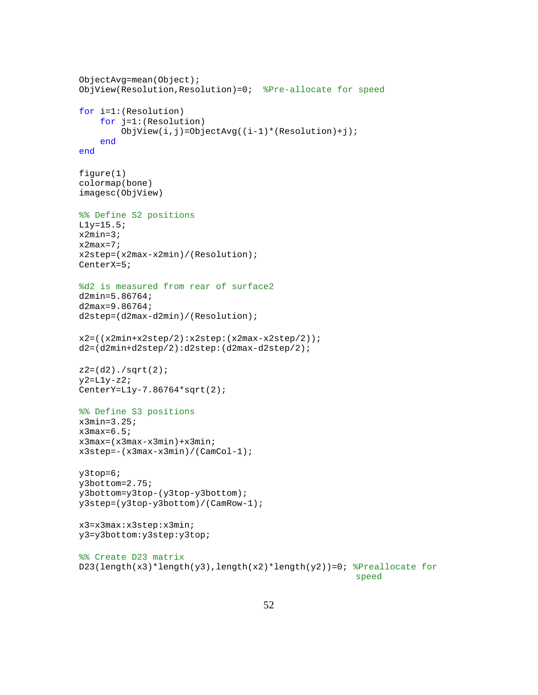```
ObjectAvg=mean(Object);
ObjView(Resolution,Resolution)=0; %Pre-allocate for speed
for i=1:(Resolution)
     for j=1:(Resolution)
         ObjView(i,j)=ObjectAvg((i-1)*(Resolution)+j);
     end
end
figure(1)
colormap(bone)
imagesc(ObjView)
%% Define S2 positions
L1y=15.5;x2min=3;
x2max=7;
x2step=(x2max-x2min)/(Resolution);
CenterX=5;
%d2 is measured from rear of surface2
d2min=5.86764;
d2max=9.86764;
d2step=(d2max-d2min)/(Resolution);
x2=((x2min+x2step/2):x2step:(x2max-x2step/2));
d2=(d2min+d2step/2):d2step:(d2max-d2step/2);
z2 = (d2)./sqrt(2);
y2=L1y-z2;
CenterY=L1y-7.86764*sqrt(2);
%% Define S3 positions
x3min=3.25;
x3max=6.5;x3max=(x3max-x3min)+x3min;
x3step=-(x3max-x3min)/(CamCol-1);
y3top=6;
y3bottom=2.75;
y3bottom=y3top-(y3top-y3bottom);
y3step=(y3top-y3bottom)/(CamRow-1);
x3=x3max:x3step:x3min;
y3=y3bottom:y3step:y3top;
%% Create D23 matrix
D23(length(x3)*length(y3),length(x2)*length(y2))=0; \text{Prealloc} for
                                                      speed
```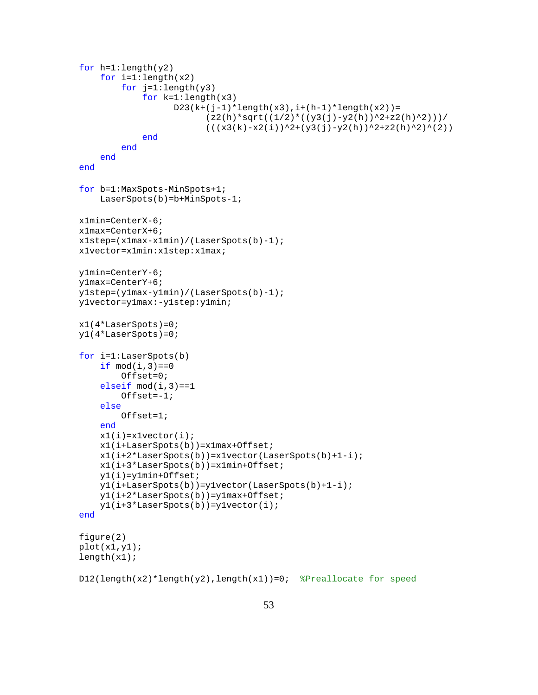```
for h=1:length(y2) for i=1:length(x2)
        for j=1: length(y3)
             for k=1:length(x3)
                  D23(k+(j-1)*length(x3),i+(h-1)*length(x2))=(z2(h)*sqrt(1/2)*(y3(j)-y2(h))^2+z2(h)^2)))/
                         (((x3(k)-x2(i))^2+(y3(j)-y2(h))^2+z2(h)^2)^(2))
             end
         end
     end
end
for b=1:MaxSpots-MinSpots+1;
     LaserSpots(b)=b+MinSpots-1;
x1min=CenterX-6;
x1max=CenterX+6;
x1step=(x1max-x1min)/(LaserSpots(b)-1);
x1vector=x1min:x1step:x1max;
y1min=CenterY-6;
y1max=CenterY+6;
y1step=(y1max-y1min)/(LaserSpots(b)-1);
y1vector=y1max:-y1step:y1min;
x1(4*LaserSpots)=0;y1(4*LaserSpots)=0;
for i=1:LaserSpots(b)
    if mod(i,3) == 0 Offset=0;
    elseif mod(i,3) == 1 Offset=-1;
     else
         Offset=1;
     end
    x1(i)=x1vector(i); x1(i+LaserSpots(b))=x1max+Offset;
    x1(i+2*LaserSports(b))=x1vector(LaserSports(b)+1-i); x1(i+3*LaserSpots(b))=x1min+Offset;
     y1(i)=y1min+Offset;
     y1(i+LaserSpots(b))=y1vector(LaserSpots(b)+1-i);
     y1(i+2*LaserSpots(b))=y1max+Offset;
     y1(i+3*LaserSpots(b))=y1vector(i);
end
figure(2)
plot(x1,y1);length(x1);
D12(length(x2)*length(y2),length(x1))=0; %Preallocate for speed
```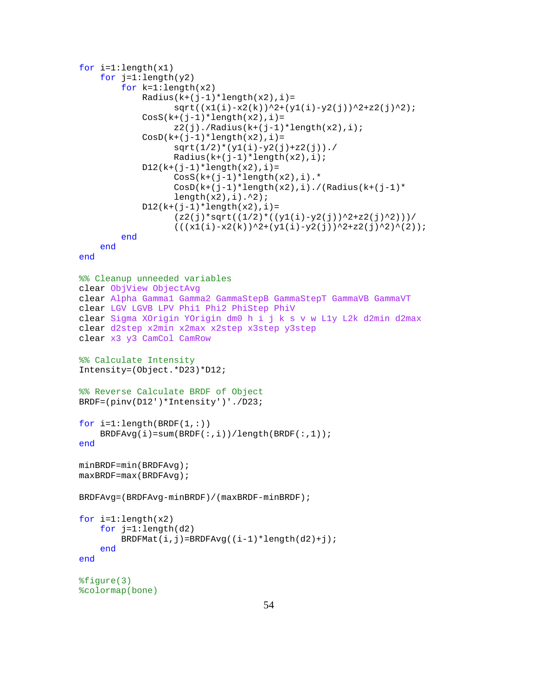```
for i=1:length(x1)
    for j=1: length(y2)
         for k=1:length(x2)
            Radius(k+(j-1)*length(x2), i)=sqrt((x1(i)-x2(k))^2+(y1(i)-y2(j))^2+z2(j)^2);\text{CosS}(k+(i-1)*length(x2), i)=z2(j)./Radius(k+(j-1)*length(x2),i);
            CosD(k+(j-1)*length(x2), i)=sqrt(1/2)*(y1(i)-y2(j)+z2(j)).Radius(k+(j-1) *length(x2), i);
            D12(k+(j-1)*length(x2), i) =\text{CosS}(k+(j-1)*length(x2),i).*CosD(k+(j-1)*length(x2),i)./(Radius(k+(j-1)*
                  length(x2), i).<sup>2</sup>);
            D12(k+(j-1)*length(x2), i) =(z2(j)*sqrt((1/2)*((y1(i)-y2(j))^2+z2(j)^2))((x1(i)-x2(k))^2+(y1(i)-y2(j))^2+z2(j)^2(2)); end
     end
end
%% Cleanup unneeded variables
clear ObjView ObjectAvg
clear Alpha Gamma1 Gamma2 GammaStepB GammaStepT GammaVB GammaVT
clear LGV LGVB LPV Phi1 Phi2 PhiStep PhiV
clear Sigma XOrigin YOrigin dm0 h i j k s v w L1y L2k d2min d2max
clear d2step x2min x2max x2step x3step y3step
clear x3 y3 CamCol CamRow
%% Calculate Intensity
Intensity=(Object.*D23)*D12;
%% Reverse Calculate BRDF of Object
BRDF=(pinv(D12')*Intensity')'./D23;
for i=1: length(BRDF(1,:))
     BRDFAvg(i)=sum(BRDF(:,i))/length(BRDF(:,1));
end
minBRDF=min(BRDFAvg);
maxBRDF=max(BRDFAvg);
BRDFAvg=(BRDFAvg-minBRDF)/(maxBRDF-minBRDF);
for i=1:length(x2)
     for j=1:length(d2)
        BRDFMat(i, j)=BRDFAvg((i-1)*length(d2)+j);
     end
end
%figure(3)
%colormap(bone)
```

```
54
```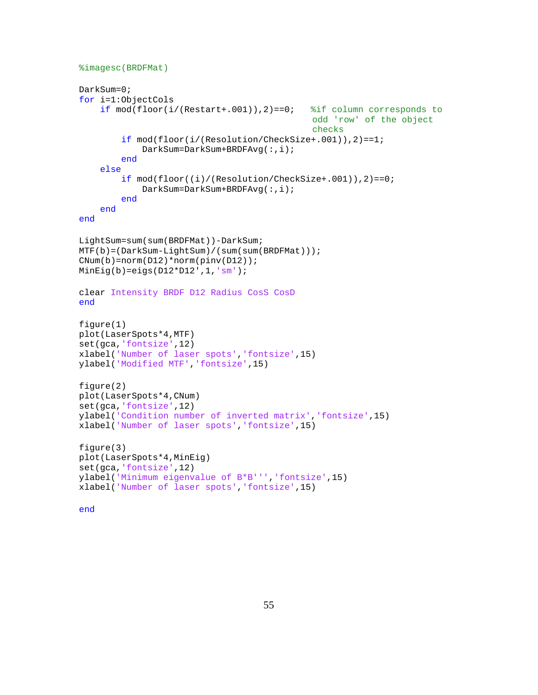```
%imagesc(BRDFMat)
```

```
DarkSum=0;
for i=1:ObjectCols
    if mod(floor(i/(Restart+.001)), 2) == 0; %if column corresponds to
                                             odd 'row' of the object 
                                             checks
         if mod(floor(i/(Resolution/CheckSize+.001)),2)==1;
             DarkSum=DarkSum+BRDFAvg(:,i);
         end
     else
         if mod(floor((i)/(Resolution/CheckSize+.001)),2)==0;
             DarkSum=DarkSum+BRDFAvg(:,i);
         end
     end
end
LightSum=sum(sum(BRDFMat))-DarkSum;
MTF(b)=(DarkSum-LightSum)/(sum(sum(BRDFMat)));
CNum(b) = norm(D12)*norm(pinv(D12));MinEig(b)=eigs(D12*D12',1,'sm');
clear Intensity BRDF D12 Radius CosS CosD
end
figure(1)
plot(LaserSpots*4,MTF)
set(gca,'fontsize',12)
xlabel('Number of laser spots','fontsize',15)
ylabel('Modified MTF','fontsize',15)
figure(2)
plot(LaserSpots*4,CNum)
set(gca,'fontsize',12)
ylabel('Condition number of inverted matrix','fontsize',15)
xlabel('Number of laser spots','fontsize',15)
figure(3)
plot(LaserSpots*4,MinEig)
set(gca,'fontsize',12)
ylabel('Minimum eigenvalue of B*B''','fontsize',15)
xlabel('Number of laser spots','fontsize',15)
```

```
end
```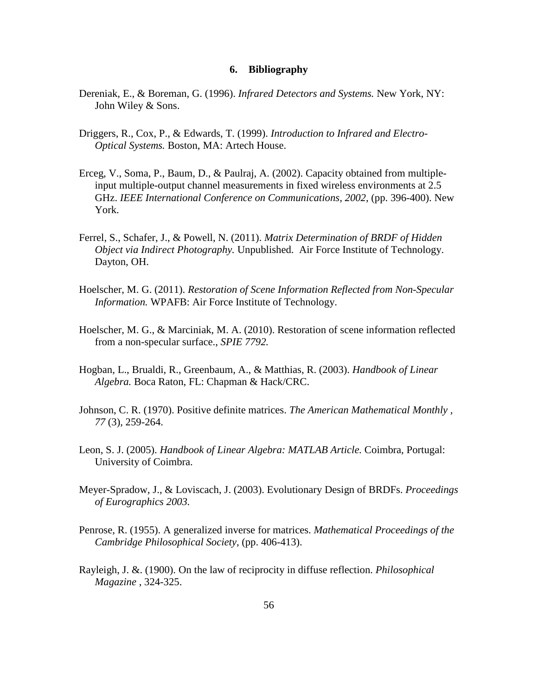#### **6. Bibliography**

- Dereniak, E., & Boreman, G. (1996). *Infrared Detectors and Systems.* New York, NY: John Wiley & Sons.
- Driggers, R., Cox, P., & Edwards, T. (1999). *Introduction to Infrared and Electro-Optical Systems.* Boston, MA: Artech House.
- Erceg, V., Soma, P., Baum, D., & Paulraj, A. (2002). Capacity obtained from multipleinput multiple-output channel measurements in fixed wireless environments at 2.5 GHz. *IEEE International Conference on Communications, 2002*, (pp. 396-400). New York.
- Ferrel, S., Schafer, J., & Powell, N. (2011). *Matrix Determination of BRDF of Hidden Object via Indirect Photography.* Unpublished. Air Force Institute of Technology. Dayton, OH.
- Hoelscher, M. G. (2011). *Restoration of Scene Information Reflected from Non-Specular Information.* WPAFB: Air Force Institute of Technology.
- Hoelscher, M. G., & Marciniak, M. A. (2010). Restoration of scene information reflected from a non-specular surface., *SPIE 7792.*
- Hogban, L., Brualdi, R., Greenbaum, A., & Matthias, R. (2003). *Handbook of Linear Algebra.* Boca Raton, FL: Chapman & Hack/CRC.
- Johnson, C. R. (1970). Positive definite matrices. *The American Mathematical Monthly , 77* (3), 259-264.
- Leon, S. J. (2005). *Handbook of Linear Algebra: MATLAB Article.* Coimbra, Portugal: University of Coimbra.
- Meyer-Spradow, J., & Loviscach, J. (2003). Evolutionary Design of BRDFs. *Proceedings of Eurographics 2003.*
- Penrose, R. (1955). A generalized inverse for matrices. *Mathematical Proceedings of the Cambridge Philosophical Society*, (pp. 406-413).
- Rayleigh, J. &. (1900). On the law of reciprocity in diffuse reflection. *Philosophical Magazine* , 324-325.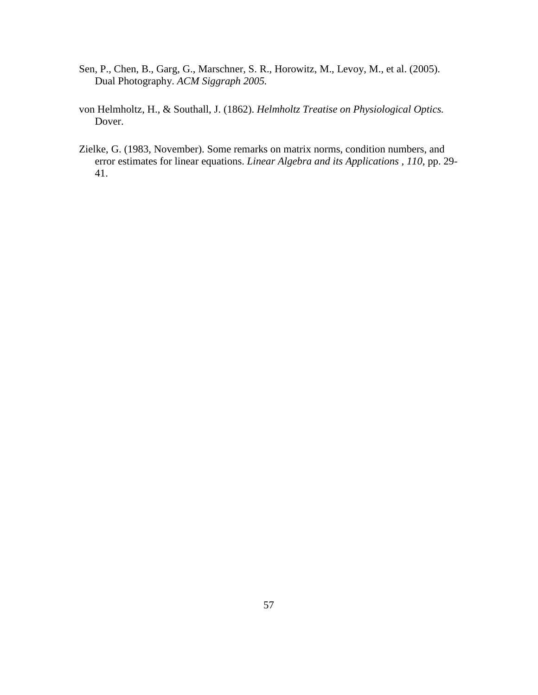- Sen, P., Chen, B., Garg, G., Marschner, S. R., Horowitz, M., Levoy, M., et al. (2005). Dual Photography. *ACM Siggraph 2005.*
- von Helmholtz, H., & Southall, J. (1862). *Helmholtz Treatise on Physiological Optics.* Dover.
- Zielke, G. (1983, November). Some remarks on matrix norms, condition numbers, and error estimates for linear equations. *Linear Algebra and its Applications , 110*, pp. 29- 41.